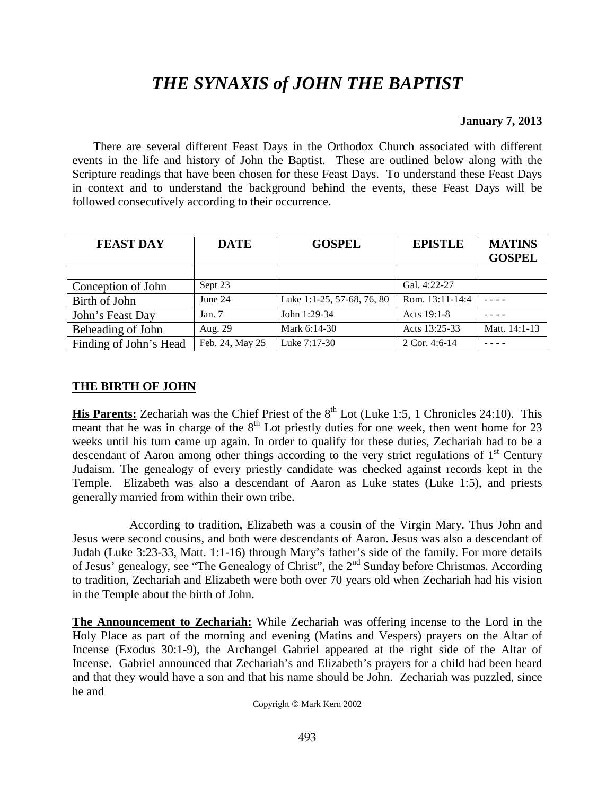# *THE SYNAXIS of JOHN THE BAPTIST*

### **January 7, 2013**

 There are several different Feast Days in the Orthodox Church associated with different events in the life and history of John the Baptist. These are outlined below along with the Scripture readings that have been chosen for these Feast Days. To understand these Feast Days in context and to understand the background behind the events, these Feast Days will be followed consecutively according to their occurrence.

| <b>FEAST DAY</b>       | <b>DATE</b>     | <b>GOSPEL</b>              | <b>EPISTLE</b>  | <b>MATINS</b> |
|------------------------|-----------------|----------------------------|-----------------|---------------|
|                        |                 |                            |                 | <b>GOSPEL</b> |
|                        |                 |                            |                 |               |
| Conception of John     | Sept 23         |                            | Gal. 4:22-27    |               |
| Birth of John          | June 24         | Luke 1:1-25, 57-68, 76, 80 | Rom. 13:11-14:4 |               |
| John's Feast Day       | Jan. $7$        | John 1:29-34               | Acts 19:1-8     |               |
| Beheading of John      | Aug. 29         | Mark 6:14-30               | Acts 13:25-33   | Matt. 14:1-13 |
| Finding of John's Head | Feb. 24, May 25 | Luke 7:17-30               | 2 Cor. 4:6-14   |               |

## **THE BIRTH OF JOHN**

**His Parents:** Zechariah was the Chief Priest of the 8<sup>th</sup> Lot (Luke 1:5, 1 Chronicles 24:10). This meant that he was in charge of the  $8<sup>th</sup>$  Lot priestly duties for one week, then went home for 23 weeks until his turn came up again. In order to qualify for these duties, Zechariah had to be a descendant of Aaron among other things according to the very strict regulations of 1<sup>st</sup> Century Judaism. The genealogy of every priestly candidate was checked against records kept in the Temple. Elizabeth was also a descendant of Aaron as Luke states (Luke 1:5), and priests generally married from within their own tribe.

 According to tradition, Elizabeth was a cousin of the Virgin Mary. Thus John and Jesus were second cousins, and both were descendants of Aaron. Jesus was also a descendant of Judah (Luke 3:23-33, Matt. 1:1-16) through Mary's father's side of the family. For more details of Jesus' genealogy, see "The Genealogy of Christ", the 2<sup>nd</sup> Sunday before Christmas. According to tradition, Zechariah and Elizabeth were both over 70 years old when Zechariah had his vision in the Temple about the birth of John.

**The Announcement to Zechariah:** While Zechariah was offering incense to the Lord in the Holy Place as part of the morning and evening (Matins and Vespers) prayers on the Altar of Incense (Exodus 30:1-9), the Archangel Gabriel appeared at the right side of the Altar of Incense. Gabriel announced that Zechariah's and Elizabeth's prayers for a child had been heard and that they would have a son and that his name should be John. Zechariah was puzzled, since he and

Copyright © Mark Kern 2002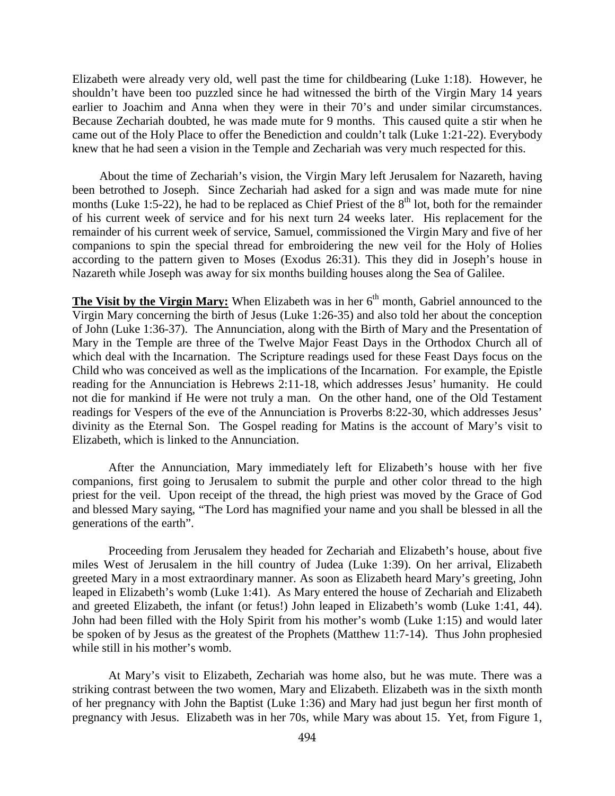Elizabeth were already very old, well past the time for childbearing (Luke 1:18). However, he shouldn't have been too puzzled since he had witnessed the birth of the Virgin Mary 14 years earlier to Joachim and Anna when they were in their 70's and under similar circumstances. Because Zechariah doubted, he was made mute for 9 months. This caused quite a stir when he came out of the Holy Place to offer the Benediction and couldn't talk (Luke 1:21-22). Everybody knew that he had seen a vision in the Temple and Zechariah was very much respected for this.

About the time of Zechariah's vision, the Virgin Mary left Jerusalem for Nazareth, having been betrothed to Joseph. Since Zechariah had asked for a sign and was made mute for nine months (Luke 1:5-22), he had to be replaced as Chief Priest of the  $8<sup>th</sup>$  lot, both for the remainder of his current week of service and for his next turn 24 weeks later. His replacement for the remainder of his current week of service, Samuel, commissioned the Virgin Mary and five of her companions to spin the special thread for embroidering the new veil for the Holy of Holies according to the pattern given to Moses (Exodus 26:31). This they did in Joseph's house in Nazareth while Joseph was away for six months building houses along the Sea of Galilee.

**The Visit by the Virgin Mary:** When Elizabeth was in her  $6<sup>th</sup>$  month, Gabriel announced to the Virgin Mary concerning the birth of Jesus (Luke 1:26-35) and also told her about the conception of John (Luke 1:36-37). The Annunciation, along with the Birth of Mary and the Presentation of Mary in the Temple are three of the Twelve Major Feast Days in the Orthodox Church all of which deal with the Incarnation. The Scripture readings used for these Feast Days focus on the Child who was conceived as well as the implications of the Incarnation. For example, the Epistle reading for the Annunciation is Hebrews 2:11-18, which addresses Jesus' humanity. He could not die for mankind if He were not truly a man. On the other hand, one of the Old Testament readings for Vespers of the eve of the Annunciation is Proverbs 8:22-30, which addresses Jesus' divinity as the Eternal Son. The Gospel reading for Matins is the account of Mary's visit to Elizabeth, which is linked to the Annunciation.

After the Annunciation, Mary immediately left for Elizabeth's house with her five companions, first going to Jerusalem to submit the purple and other color thread to the high priest for the veil. Upon receipt of the thread, the high priest was moved by the Grace of God and blessed Mary saying, "The Lord has magnified your name and you shall be blessed in all the generations of the earth".

Proceeding from Jerusalem they headed for Zechariah and Elizabeth's house, about five miles West of Jerusalem in the hill country of Judea (Luke 1:39). On her arrival, Elizabeth greeted Mary in a most extraordinary manner. As soon as Elizabeth heard Mary's greeting, John leaped in Elizabeth's womb (Luke 1:41). As Mary entered the house of Zechariah and Elizabeth and greeted Elizabeth, the infant (or fetus!) John leaped in Elizabeth's womb (Luke 1:41, 44). John had been filled with the Holy Spirit from his mother's womb (Luke 1:15) and would later be spoken of by Jesus as the greatest of the Prophets (Matthew 11:7-14). Thus John prophesied while still in his mother's womb.

At Mary's visit to Elizabeth, Zechariah was home also, but he was mute. There was a striking contrast between the two women, Mary and Elizabeth. Elizabeth was in the sixth month of her pregnancy with John the Baptist (Luke 1:36) and Mary had just begun her first month of pregnancy with Jesus. Elizabeth was in her 70s, while Mary was about 15. Yet, from Figure 1,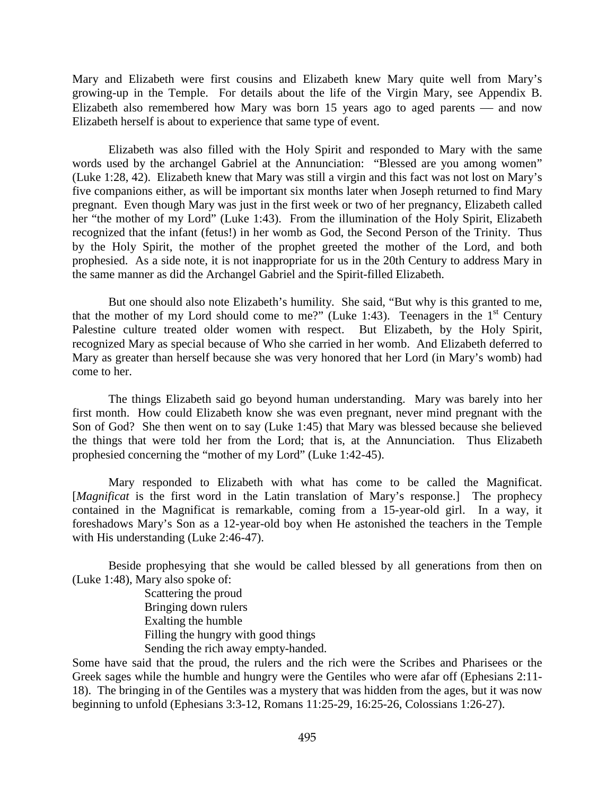Mary and Elizabeth were first cousins and Elizabeth knew Mary quite well from Mary's growing-up in the Temple. For details about the life of the Virgin Mary, see Appendix B. Elizabeth also remembered how Mary was born  $15$  years ago to aged parents — and now Elizabeth herself is about to experience that same type of event.

Elizabeth was also filled with the Holy Spirit and responded to Mary with the same words used by the archangel Gabriel at the Annunciation: "Blessed are you among women" (Luke 1:28, 42). Elizabeth knew that Mary was still a virgin and this fact was not lost on Mary's five companions either, as will be important six months later when Joseph returned to find Mary pregnant. Even though Mary was just in the first week or two of her pregnancy, Elizabeth called her "the mother of my Lord" (Luke 1:43). From the illumination of the Holy Spirit, Elizabeth recognized that the infant (fetus!) in her womb as God, the Second Person of the Trinity. Thus by the Holy Spirit, the mother of the prophet greeted the mother of the Lord, and both prophesied. As a side note, it is not inappropriate for us in the 20th Century to address Mary in the same manner as did the Archangel Gabriel and the Spirit-filled Elizabeth.

But one should also note Elizabeth's humility. She said, "But why is this granted to me, that the mother of my Lord should come to me?" (Luke 1:43). Teenagers in the  $1<sup>st</sup>$  Century Palestine culture treated older women with respect. But Elizabeth, by the Holy Spirit, recognized Mary as special because of Who she carried in her womb. And Elizabeth deferred to Mary as greater than herself because she was very honored that her Lord (in Mary's womb) had come to her.

The things Elizabeth said go beyond human understanding. Mary was barely into her first month. How could Elizabeth know she was even pregnant, never mind pregnant with the Son of God? She then went on to say (Luke 1:45) that Mary was blessed because she believed the things that were told her from the Lord; that is, at the Annunciation. Thus Elizabeth prophesied concerning the "mother of my Lord" (Luke 1:42-45).

Mary responded to Elizabeth with what has come to be called the Magnificat. [*Magnificat* is the first word in the Latin translation of Mary's response.] The prophecy contained in the Magnificat is remarkable, coming from a 15-year-old girl. In a way, it foreshadows Mary's Son as a 12-year-old boy when He astonished the teachers in the Temple with His understanding (Luke 2:46-47).

Beside prophesying that she would be called blessed by all generations from then on (Luke 1:48), Mary also spoke of:

> Scattering the proud Bringing down rulers Exalting the humble Filling the hungry with good things Sending the rich away empty-handed.

Some have said that the proud, the rulers and the rich were the Scribes and Pharisees or the Greek sages while the humble and hungry were the Gentiles who were afar off (Ephesians 2:11- 18). The bringing in of the Gentiles was a mystery that was hidden from the ages, but it was now beginning to unfold (Ephesians 3:3-12, Romans 11:25-29, 16:25-26, Colossians 1:26-27).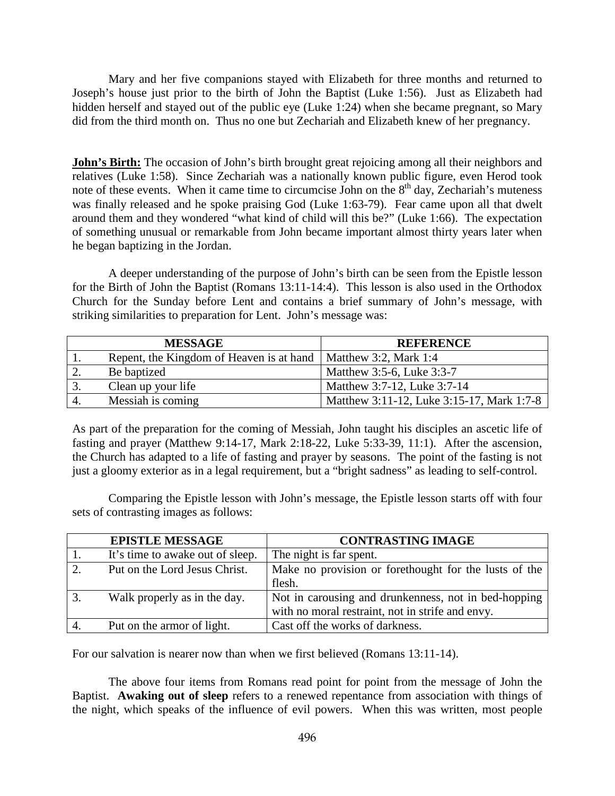Mary and her five companions stayed with Elizabeth for three months and returned to Joseph's house just prior to the birth of John the Baptist (Luke 1:56). Just as Elizabeth had hidden herself and stayed out of the public eye (Luke 1:24) when she became pregnant, so Mary did from the third month on. Thus no one but Zechariah and Elizabeth knew of her pregnancy.

**John's Birth:** The occasion of John's birth brought great rejoicing among all their neighbors and relatives (Luke 1:58). Since Zechariah was a nationally known public figure, even Herod took note of these events. When it came time to circumcise John on the  $8<sup>th</sup>$  day, Zechariah's muteness was finally released and he spoke praising God (Luke 1:63-79). Fear came upon all that dwelt around them and they wondered "what kind of child will this be?" (Luke 1:66). The expectation of something unusual or remarkable from John became important almost thirty years later when he began baptizing in the Jordan.

A deeper understanding of the purpose of John's birth can be seen from the Epistle lesson for the Birth of John the Baptist (Romans 13:11-14:4). This lesson is also used in the Orthodox Church for the Sunday before Lent and contains a brief summary of John's message, with striking similarities to preparation for Lent. John's message was:

|            | <b>MESSAGE</b>                                                   | <b>REFERENCE</b>                          |
|------------|------------------------------------------------------------------|-------------------------------------------|
|            | Repent, the Kingdom of Heaven is at hand   Matthew 3:2, Mark 1:4 |                                           |
| 2.         | Be baptized                                                      | Matthew 3:5-6, Luke 3:3-7                 |
| 3.         | Clean up your life                                               | Matthew 3:7-12, Luke 3:7-14               |
| $\cdot$ 4. | Messiah is coming                                                | Matthew 3:11-12, Luke 3:15-17, Mark 1:7-8 |

As part of the preparation for the coming of Messiah, John taught his disciples an ascetic life of fasting and prayer (Matthew 9:14-17, Mark 2:18-22, Luke 5:33-39, 11:1). After the ascension, the Church has adapted to a life of fasting and prayer by seasons. The point of the fasting is not just a gloomy exterior as in a legal requirement, but a "bright sadness" as leading to self-control.

Comparing the Epistle lesson with John's message, the Epistle lesson starts off with four sets of contrasting images as follows:

|               | <b>EPISTLE MESSAGE</b>           | <b>CONTRASTING IMAGE</b>                                                                                 |
|---------------|----------------------------------|----------------------------------------------------------------------------------------------------------|
| 1.            | It's time to awake out of sleep. | The night is far spent.                                                                                  |
| $\mathcal{D}$ | Put on the Lord Jesus Christ.    | Make no provision or forethought for the lusts of the<br>flesh.                                          |
| 3.            | Walk properly as in the day.     | Not in carousing and drunkenness, not in bed-hopping<br>with no moral restraint, not in strife and envy. |
|               | Put on the armor of light.       | Cast off the works of darkness.                                                                          |

For our salvation is nearer now than when we first believed (Romans 13:11-14).

The above four items from Romans read point for point from the message of John the Baptist. **Awaking out of sleep** refers to a renewed repentance from association with things of the night, which speaks of the influence of evil powers. When this was written, most people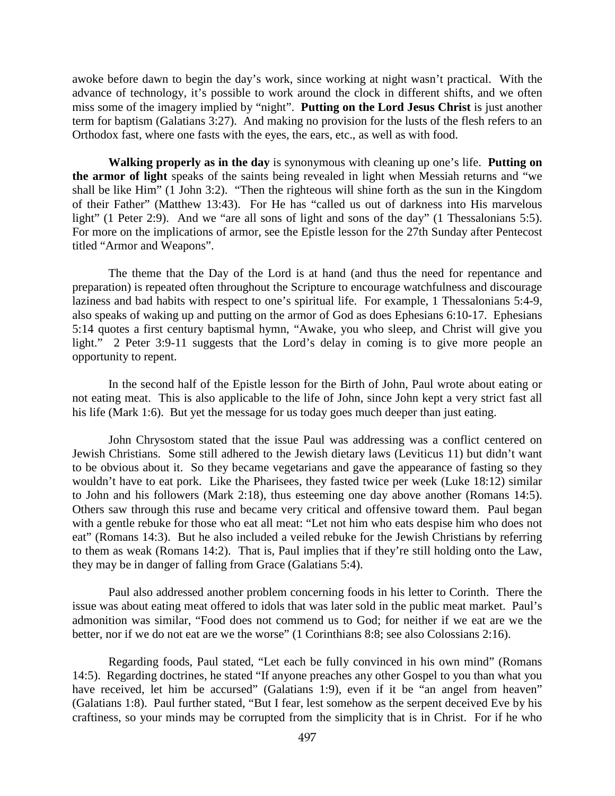awoke before dawn to begin the day's work, since working at night wasn't practical. With the advance of technology, it's possible to work around the clock in different shifts, and we often miss some of the imagery implied by "night". **Putting on the Lord Jesus Christ** is just another term for baptism (Galatians 3:27). And making no provision for the lusts of the flesh refers to an Orthodox fast, where one fasts with the eyes, the ears, etc., as well as with food.

**Walking properly as in the day** is synonymous with cleaning up one's life. **Putting on the armor of light** speaks of the saints being revealed in light when Messiah returns and "we shall be like Him" (1 John 3:2). "Then the righteous will shine forth as the sun in the Kingdom of their Father" (Matthew 13:43). For He has "called us out of darkness into His marvelous light" (1 Peter 2:9). And we "are all sons of light and sons of the day" (1 Thessalonians 5:5). For more on the implications of armor, see the Epistle lesson for the 27th Sunday after Pentecost titled "Armor and Weapons".

The theme that the Day of the Lord is at hand (and thus the need for repentance and preparation) is repeated often throughout the Scripture to encourage watchfulness and discourage laziness and bad habits with respect to one's spiritual life. For example, 1 Thessalonians 5:4-9, also speaks of waking up and putting on the armor of God as does Ephesians 6:10-17. Ephesians 5:14 quotes a first century baptismal hymn, "Awake, you who sleep, and Christ will give you light." 2 Peter 3:9-11 suggests that the Lord's delay in coming is to give more people an opportunity to repent.

In the second half of the Epistle lesson for the Birth of John, Paul wrote about eating or not eating meat. This is also applicable to the life of John, since John kept a very strict fast all his life (Mark 1:6). But yet the message for us today goes much deeper than just eating.

John Chrysostom stated that the issue Paul was addressing was a conflict centered on Jewish Christians. Some still adhered to the Jewish dietary laws (Leviticus 11) but didn't want to be obvious about it. So they became vegetarians and gave the appearance of fasting so they wouldn't have to eat pork. Like the Pharisees, they fasted twice per week (Luke 18:12) similar to John and his followers (Mark 2:18), thus esteeming one day above another (Romans 14:5). Others saw through this ruse and became very critical and offensive toward them. Paul began with a gentle rebuke for those who eat all meat: "Let not him who eats despise him who does not eat" (Romans 14:3). But he also included a veiled rebuke for the Jewish Christians by referring to them as weak (Romans 14:2). That is, Paul implies that if they're still holding onto the Law, they may be in danger of falling from Grace (Galatians 5:4).

Paul also addressed another problem concerning foods in his letter to Corinth. There the issue was about eating meat offered to idols that was later sold in the public meat market. Paul's admonition was similar, "Food does not commend us to God; for neither if we eat are we the better, nor if we do not eat are we the worse" (1 Corinthians 8:8; see also Colossians 2:16).

Regarding foods, Paul stated, "Let each be fully convinced in his own mind" (Romans 14:5). Regarding doctrines, he stated "If anyone preaches any other Gospel to you than what you have received, let him be accursed" (Galatians 1:9), even if it be "an angel from heaven" (Galatians 1:8). Paul further stated, "But I fear, lest somehow as the serpent deceived Eve by his craftiness, so your minds may be corrupted from the simplicity that is in Christ. For if he who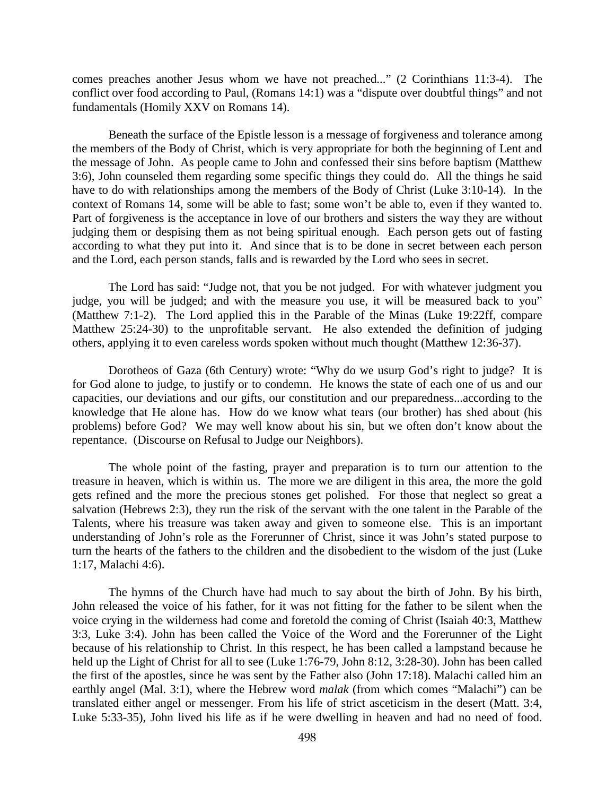comes preaches another Jesus whom we have not preached..." (2 Corinthians 11:3-4). The conflict over food according to Paul, (Romans 14:1) was a "dispute over doubtful things" and not fundamentals (Homily XXV on Romans 14).

Beneath the surface of the Epistle lesson is a message of forgiveness and tolerance among the members of the Body of Christ, which is very appropriate for both the beginning of Lent and the message of John. As people came to John and confessed their sins before baptism (Matthew 3:6), John counseled them regarding some specific things they could do. All the things he said have to do with relationships among the members of the Body of Christ (Luke 3:10-14). In the context of Romans 14, some will be able to fast; some won't be able to, even if they wanted to. Part of forgiveness is the acceptance in love of our brothers and sisters the way they are without judging them or despising them as not being spiritual enough. Each person gets out of fasting according to what they put into it. And since that is to be done in secret between each person and the Lord, each person stands, falls and is rewarded by the Lord who sees in secret.

The Lord has said: "Judge not, that you be not judged. For with whatever judgment you judge, you will be judged; and with the measure you use, it will be measured back to you" (Matthew 7:1-2). The Lord applied this in the Parable of the Minas (Luke 19:22ff, compare Matthew 25:24-30) to the unprofitable servant. He also extended the definition of judging others, applying it to even careless words spoken without much thought (Matthew 12:36-37).

Dorotheos of Gaza (6th Century) wrote: "Why do we usurp God's right to judge? It is for God alone to judge, to justify or to condemn. He knows the state of each one of us and our capacities, our deviations and our gifts, our constitution and our preparedness...according to the knowledge that He alone has. How do we know what tears (our brother) has shed about (his problems) before God? We may well know about his sin, but we often don't know about the repentance. (Discourse on Refusal to Judge our Neighbors).

The whole point of the fasting, prayer and preparation is to turn our attention to the treasure in heaven, which is within us. The more we are diligent in this area, the more the gold gets refined and the more the precious stones get polished. For those that neglect so great a salvation (Hebrews 2:3), they run the risk of the servant with the one talent in the Parable of the Talents, where his treasure was taken away and given to someone else. This is an important understanding of John's role as the Forerunner of Christ, since it was John's stated purpose to turn the hearts of the fathers to the children and the disobedient to the wisdom of the just (Luke 1:17, Malachi 4:6).

The hymns of the Church have had much to say about the birth of John. By his birth, John released the voice of his father, for it was not fitting for the father to be silent when the voice crying in the wilderness had come and foretold the coming of Christ (Isaiah 40:3, Matthew 3:3, Luke 3:4). John has been called the Voice of the Word and the Forerunner of the Light because of his relationship to Christ. In this respect, he has been called a lampstand because he held up the Light of Christ for all to see (Luke 1:76-79, John 8:12, 3:28-30). John has been called the first of the apostles, since he was sent by the Father also (John 17:18). Malachi called him an earthly angel (Mal. 3:1), where the Hebrew word *malak* (from which comes "Malachi") can be translated either angel or messenger. From his life of strict asceticism in the desert (Matt. 3:4, Luke 5:33-35), John lived his life as if he were dwelling in heaven and had no need of food.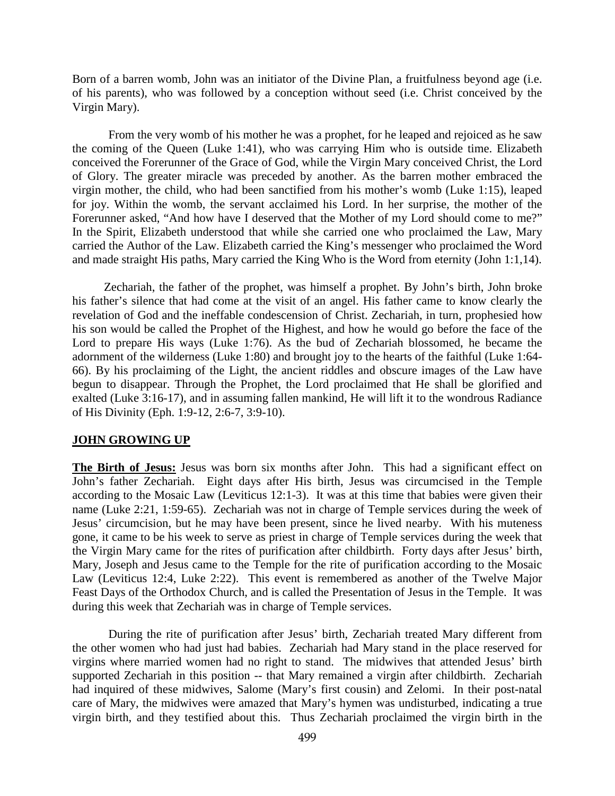Born of a barren womb, John was an initiator of the Divine Plan, a fruitfulness beyond age (i.e. of his parents), who was followed by a conception without seed (i.e. Christ conceived by the Virgin Mary).

From the very womb of his mother he was a prophet, for he leaped and rejoiced as he saw the coming of the Queen (Luke 1:41), who was carrying Him who is outside time. Elizabeth conceived the Forerunner of the Grace of God, while the Virgin Mary conceived Christ, the Lord of Glory. The greater miracle was preceded by another. As the barren mother embraced the virgin mother, the child, who had been sanctified from his mother's womb (Luke 1:15), leaped for joy. Within the womb, the servant acclaimed his Lord. In her surprise, the mother of the Forerunner asked, "And how have I deserved that the Mother of my Lord should come to me?" In the Spirit, Elizabeth understood that while she carried one who proclaimed the Law, Mary carried the Author of the Law. Elizabeth carried the King's messenger who proclaimed the Word and made straight His paths, Mary carried the King Who is the Word from eternity (John 1:1,14).

Zechariah, the father of the prophet, was himself a prophet. By John's birth, John broke his father's silence that had come at the visit of an angel. His father came to know clearly the revelation of God and the ineffable condescension of Christ. Zechariah, in turn, prophesied how his son would be called the Prophet of the Highest, and how he would go before the face of the Lord to prepare His ways (Luke 1:76). As the bud of Zechariah blossomed, he became the adornment of the wilderness (Luke 1:80) and brought joy to the hearts of the faithful (Luke 1:64- 66). By his proclaiming of the Light, the ancient riddles and obscure images of the Law have begun to disappear. Through the Prophet, the Lord proclaimed that He shall be glorified and exalted (Luke 3:16-17), and in assuming fallen mankind, He will lift it to the wondrous Radiance of His Divinity (Eph. 1:9-12, 2:6-7, 3:9-10).

### **JOHN GROWING UP**

**The Birth of Jesus:** Jesus was born six months after John. This had a significant effect on John's father Zechariah. Eight days after His birth, Jesus was circumcised in the Temple according to the Mosaic Law (Leviticus 12:1-3). It was at this time that babies were given their name (Luke 2:21, 1:59-65). Zechariah was not in charge of Temple services during the week of Jesus' circumcision, but he may have been present, since he lived nearby. With his muteness gone, it came to be his week to serve as priest in charge of Temple services during the week that the Virgin Mary came for the rites of purification after childbirth. Forty days after Jesus' birth, Mary, Joseph and Jesus came to the Temple for the rite of purification according to the Mosaic Law (Leviticus 12:4, Luke 2:22). This event is remembered as another of the Twelve Major Feast Days of the Orthodox Church, and is called the Presentation of Jesus in the Temple. It was during this week that Zechariah was in charge of Temple services.

During the rite of purification after Jesus' birth, Zechariah treated Mary different from the other women who had just had babies. Zechariah had Mary stand in the place reserved for virgins where married women had no right to stand. The midwives that attended Jesus' birth supported Zechariah in this position -- that Mary remained a virgin after childbirth. Zechariah had inquired of these midwives, Salome (Mary's first cousin) and Zelomi. In their post-natal care of Mary, the midwives were amazed that Mary's hymen was undisturbed, indicating a true virgin birth, and they testified about this. Thus Zechariah proclaimed the virgin birth in the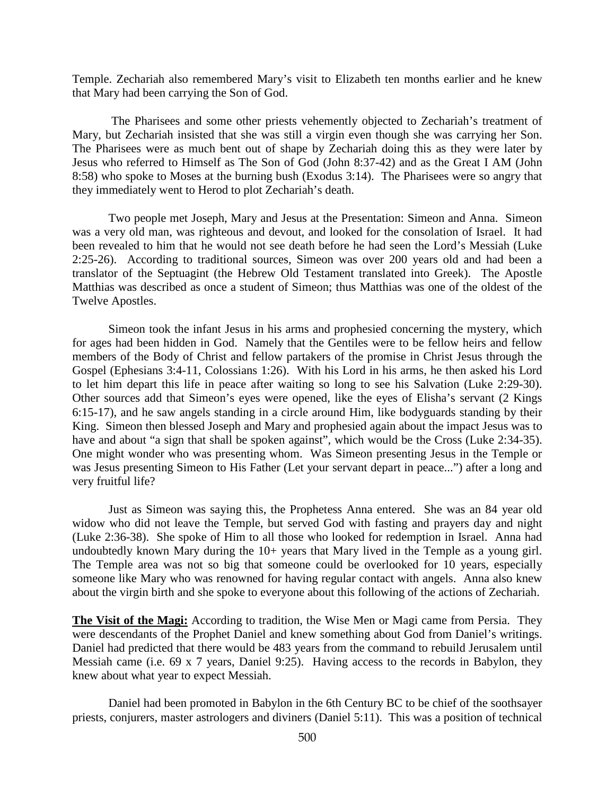Temple. Zechariah also remembered Mary's visit to Elizabeth ten months earlier and he knew that Mary had been carrying the Son of God.

The Pharisees and some other priests vehemently objected to Zechariah's treatment of Mary, but Zechariah insisted that she was still a virgin even though she was carrying her Son. The Pharisees were as much bent out of shape by Zechariah doing this as they were later by Jesus who referred to Himself as The Son of God (John 8:37-42) and as the Great I AM (John 8:58) who spoke to Moses at the burning bush (Exodus 3:14). The Pharisees were so angry that they immediately went to Herod to plot Zechariah's death.

Two people met Joseph, Mary and Jesus at the Presentation: Simeon and Anna. Simeon was a very old man, was righteous and devout, and looked for the consolation of Israel. It had been revealed to him that he would not see death before he had seen the Lord's Messiah (Luke 2:25-26). According to traditional sources, Simeon was over 200 years old and had been a translator of the Septuagint (the Hebrew Old Testament translated into Greek). The Apostle Matthias was described as once a student of Simeon; thus Matthias was one of the oldest of the Twelve Apostles.

Simeon took the infant Jesus in his arms and prophesied concerning the mystery, which for ages had been hidden in God. Namely that the Gentiles were to be fellow heirs and fellow members of the Body of Christ and fellow partakers of the promise in Christ Jesus through the Gospel (Ephesians 3:4-11, Colossians 1:26). With his Lord in his arms, he then asked his Lord to let him depart this life in peace after waiting so long to see his Salvation (Luke 2:29-30). Other sources add that Simeon's eyes were opened, like the eyes of Elisha's servant (2 Kings 6:15-17), and he saw angels standing in a circle around Him, like bodyguards standing by their King. Simeon then blessed Joseph and Mary and prophesied again about the impact Jesus was to have and about "a sign that shall be spoken against", which would be the Cross (Luke 2:34-35). One might wonder who was presenting whom. Was Simeon presenting Jesus in the Temple or was Jesus presenting Simeon to His Father (Let your servant depart in peace...") after a long and very fruitful life?

Just as Simeon was saying this, the Prophetess Anna entered. She was an 84 year old widow who did not leave the Temple, but served God with fasting and prayers day and night (Luke 2:36-38). She spoke of Him to all those who looked for redemption in Israel. Anna had undoubtedly known Mary during the 10+ years that Mary lived in the Temple as a young girl. The Temple area was not so big that someone could be overlooked for 10 years, especially someone like Mary who was renowned for having regular contact with angels. Anna also knew about the virgin birth and she spoke to everyone about this following of the actions of Zechariah.

**The Visit of the Magi:** According to tradition, the Wise Men or Magi came from Persia. They were descendants of the Prophet Daniel and knew something about God from Daniel's writings. Daniel had predicted that there would be 483 years from the command to rebuild Jerusalem until Messiah came (i.e. 69 x 7 years, Daniel 9:25). Having access to the records in Babylon, they knew about what year to expect Messiah.

Daniel had been promoted in Babylon in the 6th Century BC to be chief of the soothsayer priests, conjurers, master astrologers and diviners (Daniel 5:11). This was a position of technical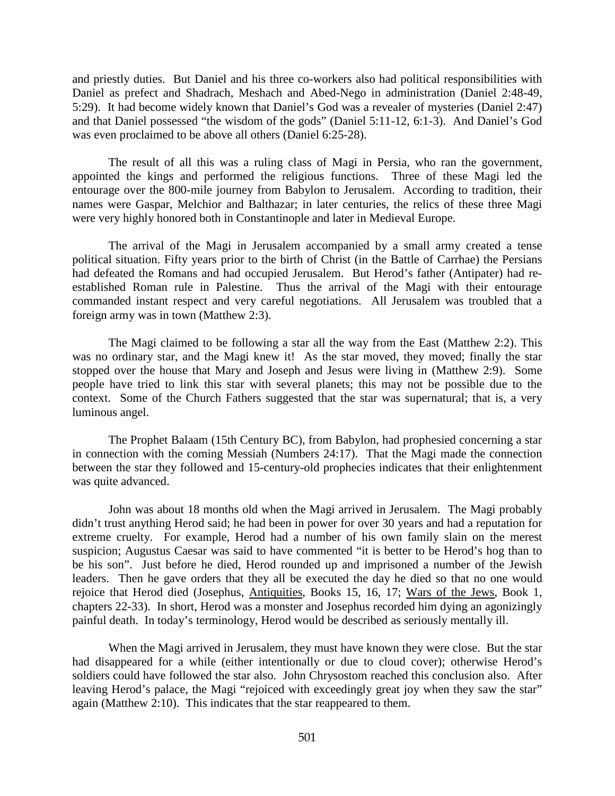and priestly duties. But Daniel and his three co-workers also had political responsibilities with Daniel as prefect and Shadrach, Meshach and Abed-Nego in administration (Daniel 2:48-49, 5:29). It had become widely known that Daniel's God was a revealer of mysteries (Daniel 2:47) and that Daniel possessed "the wisdom of the gods" (Daniel 5:11-12, 6:1-3). And Daniel's God was even proclaimed to be above all others (Daniel 6:25-28).

The result of all this was a ruling class of Magi in Persia, who ran the government, appointed the kings and performed the religious functions. Three of these Magi led the entourage over the 800-mile journey from Babylon to Jerusalem. According to tradition, their names were Gaspar, Melchior and Balthazar; in later centuries, the relics of these three Magi were very highly honored both in Constantinople and later in Medieval Europe.

The arrival of the Magi in Jerusalem accompanied by a small army created a tense political situation. Fifty years prior to the birth of Christ (in the Battle of Carrhae) the Persians had defeated the Romans and had occupied Jerusalem. But Herod's father (Antipater) had reestablished Roman rule in Palestine. Thus the arrival of the Magi with their entourage commanded instant respect and very careful negotiations. All Jerusalem was troubled that a foreign army was in town (Matthew 2:3).

The Magi claimed to be following a star all the way from the East (Matthew 2:2). This was no ordinary star, and the Magi knew it! As the star moved, they moved; finally the star stopped over the house that Mary and Joseph and Jesus were living in (Matthew 2:9). Some people have tried to link this star with several planets; this may not be possible due to the context. Some of the Church Fathers suggested that the star was supernatural; that is, a very luminous angel.

The Prophet Balaam (15th Century BC), from Babylon, had prophesied concerning a star in connection with the coming Messiah (Numbers 24:17). That the Magi made the connection between the star they followed and 15-century-old prophecies indicates that their enlightenment was quite advanced.

John was about 18 months old when the Magi arrived in Jerusalem. The Magi probably didn't trust anything Herod said; he had been in power for over 30 years and had a reputation for extreme cruelty. For example, Herod had a number of his own family slain on the merest suspicion; Augustus Caesar was said to have commented "it is better to be Herod's hog than to be his son". Just before he died, Herod rounded up and imprisoned a number of the Jewish leaders. Then he gave orders that they all be executed the day he died so that no one would rejoice that Herod died (Josephus, Antiquities, Books 15, 16, 17; Wars of the Jews, Book 1, chapters 22-33). In short, Herod was a monster and Josephus recorded him dying an agonizingly painful death. In today's terminology, Herod would be described as seriously mentally ill.

When the Magi arrived in Jerusalem, they must have known they were close. But the star had disappeared for a while (either intentionally or due to cloud cover); otherwise Herod's soldiers could have followed the star also. John Chrysostom reached this conclusion also. After leaving Herod's palace, the Magi "rejoiced with exceedingly great joy when they saw the star" again (Matthew 2:10). This indicates that the star reappeared to them.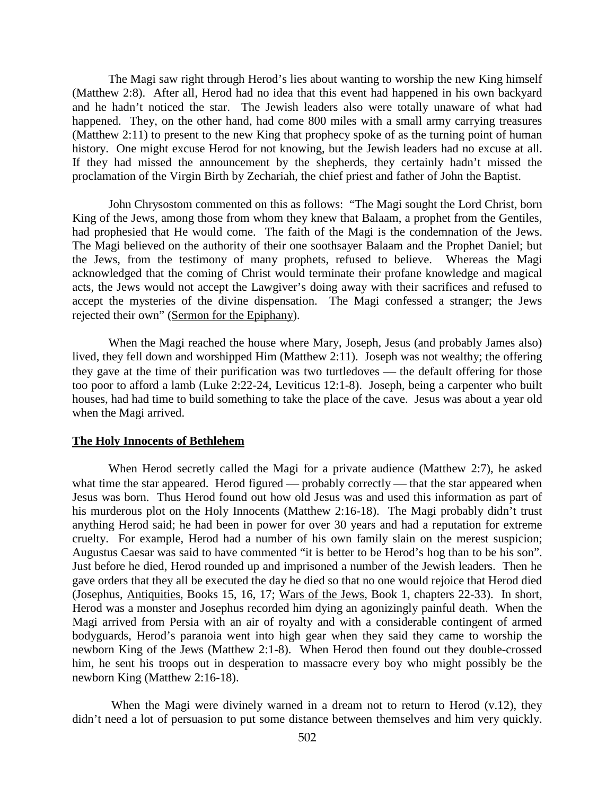The Magi saw right through Herod's lies about wanting to worship the new King himself (Matthew 2:8). After all, Herod had no idea that this event had happened in his own backyard and he hadn't noticed the star. The Jewish leaders also were totally unaware of what had happened. They, on the other hand, had come 800 miles with a small army carrying treasures (Matthew 2:11) to present to the new King that prophecy spoke of as the turning point of human history. One might excuse Herod for not knowing, but the Jewish leaders had no excuse at all. If they had missed the announcement by the shepherds, they certainly hadn't missed the proclamation of the Virgin Birth by Zechariah, the chief priest and father of John the Baptist.

John Chrysostom commented on this as follows: "The Magi sought the Lord Christ, born King of the Jews, among those from whom they knew that Balaam, a prophet from the Gentiles, had prophesied that He would come. The faith of the Magi is the condemnation of the Jews. The Magi believed on the authority of their one soothsayer Balaam and the Prophet Daniel; but the Jews, from the testimony of many prophets, refused to believe. Whereas the Magi acknowledged that the coming of Christ would terminate their profane knowledge and magical acts, the Jews would not accept the Lawgiver's doing away with their sacrifices and refused to accept the mysteries of the divine dispensation. The Magi confessed a stranger; the Jews rejected their own" (Sermon for the Epiphany).

When the Magi reached the house where Mary, Joseph, Jesus (and probably James also) lived, they fell down and worshipped Him (Matthew 2:11). Joseph was not wealthy; the offering they gave at the time of their purification was two turtledoves  $-$  the default offering for those too poor to afford a lamb (Luke 2:22-24, Leviticus 12:1-8). Joseph, being a carpenter who built houses, had had time to build something to take the place of the cave. Jesus was about a year old when the Magi arrived.

#### **The Holy Innocents of Bethlehem**

When Herod secretly called the Magi for a private audience (Matthew 2:7), he asked what time the star appeared. Herod figured — probably correctly — that the star appeared when Jesus was born. Thus Herod found out how old Jesus was and used this information as part of his murderous plot on the Holy Innocents (Matthew 2:16-18). The Magi probably didn't trust anything Herod said; he had been in power for over 30 years and had a reputation for extreme cruelty. For example, Herod had a number of his own family slain on the merest suspicion; Augustus Caesar was said to have commented "it is better to be Herod's hog than to be his son". Just before he died, Herod rounded up and imprisoned a number of the Jewish leaders. Then he gave orders that they all be executed the day he died so that no one would rejoice that Herod died (Josephus, Antiquities, Books 15, 16, 17; Wars of the Jews, Book 1, chapters 22-33). In short, Herod was a monster and Josephus recorded him dying an agonizingly painful death. When the Magi arrived from Persia with an air of royalty and with a considerable contingent of armed bodyguards, Herod's paranoia went into high gear when they said they came to worship the newborn King of the Jews (Matthew 2:1-8). When Herod then found out they double-crossed him, he sent his troops out in desperation to massacre every boy who might possibly be the newborn King (Matthew 2:16-18).

When the Magi were divinely warned in a dream not to return to Herod (v.12), they didn't need a lot of persuasion to put some distance between themselves and him very quickly.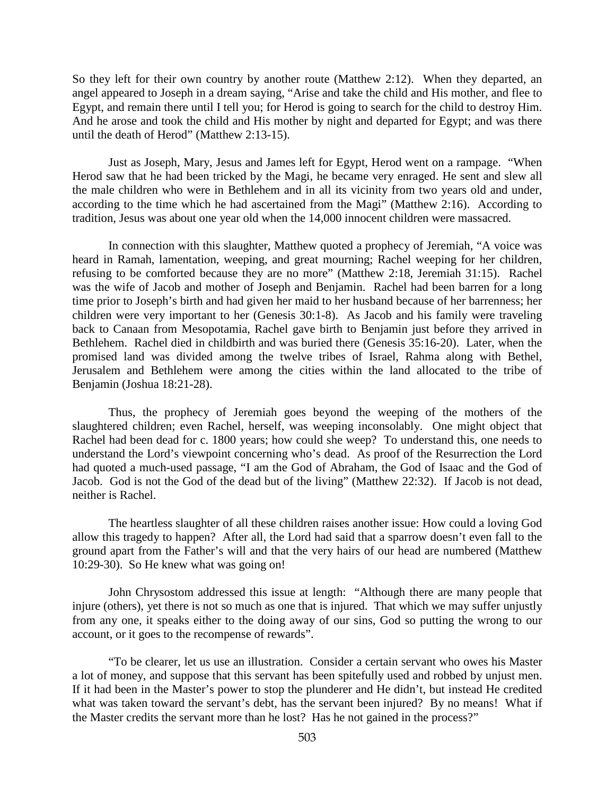So they left for their own country by another route (Matthew 2:12). When they departed, an angel appeared to Joseph in a dream saying, "Arise and take the child and His mother, and flee to Egypt, and remain there until I tell you; for Herod is going to search for the child to destroy Him. And he arose and took the child and His mother by night and departed for Egypt; and was there until the death of Herod" (Matthew 2:13-15).

Just as Joseph, Mary, Jesus and James left for Egypt, Herod went on a rampage. "When Herod saw that he had been tricked by the Magi, he became very enraged. He sent and slew all the male children who were in Bethlehem and in all its vicinity from two years old and under, according to the time which he had ascertained from the Magi" (Matthew 2:16). According to tradition, Jesus was about one year old when the 14,000 innocent children were massacred.

In connection with this slaughter, Matthew quoted a prophecy of Jeremiah, "A voice was heard in Ramah, lamentation, weeping, and great mourning; Rachel weeping for her children, refusing to be comforted because they are no more" (Matthew 2:18, Jeremiah 31:15). Rachel was the wife of Jacob and mother of Joseph and Benjamin. Rachel had been barren for a long time prior to Joseph's birth and had given her maid to her husband because of her barrenness; her children were very important to her (Genesis 30:1-8). As Jacob and his family were traveling back to Canaan from Mesopotamia, Rachel gave birth to Benjamin just before they arrived in Bethlehem. Rachel died in childbirth and was buried there (Genesis 35:16-20). Later, when the promised land was divided among the twelve tribes of Israel, Rahma along with Bethel, Jerusalem and Bethlehem were among the cities within the land allocated to the tribe of Benjamin (Joshua 18:21-28).

Thus, the prophecy of Jeremiah goes beyond the weeping of the mothers of the slaughtered children; even Rachel, herself, was weeping inconsolably. One might object that Rachel had been dead for c. 1800 years; how could she weep? To understand this, one needs to understand the Lord's viewpoint concerning who's dead. As proof of the Resurrection the Lord had quoted a much-used passage, "I am the God of Abraham, the God of Isaac and the God of Jacob. God is not the God of the dead but of the living" (Matthew 22:32). If Jacob is not dead, neither is Rachel.

The heartless slaughter of all these children raises another issue: How could a loving God allow this tragedy to happen? After all, the Lord had said that a sparrow doesn't even fall to the ground apart from the Father's will and that the very hairs of our head are numbered (Matthew 10:29-30). So He knew what was going on!

John Chrysostom addressed this issue at length: "Although there are many people that injure (others), yet there is not so much as one that is injured. That which we may suffer unjustly from any one, it speaks either to the doing away of our sins, God so putting the wrong to our account, or it goes to the recompense of rewards".

"To be clearer, let us use an illustration. Consider a certain servant who owes his Master a lot of money, and suppose that this servant has been spitefully used and robbed by unjust men. If it had been in the Master's power to stop the plunderer and He didn't, but instead He credited what was taken toward the servant's debt, has the servant been injured? By no means! What if the Master credits the servant more than he lost? Has he not gained in the process?"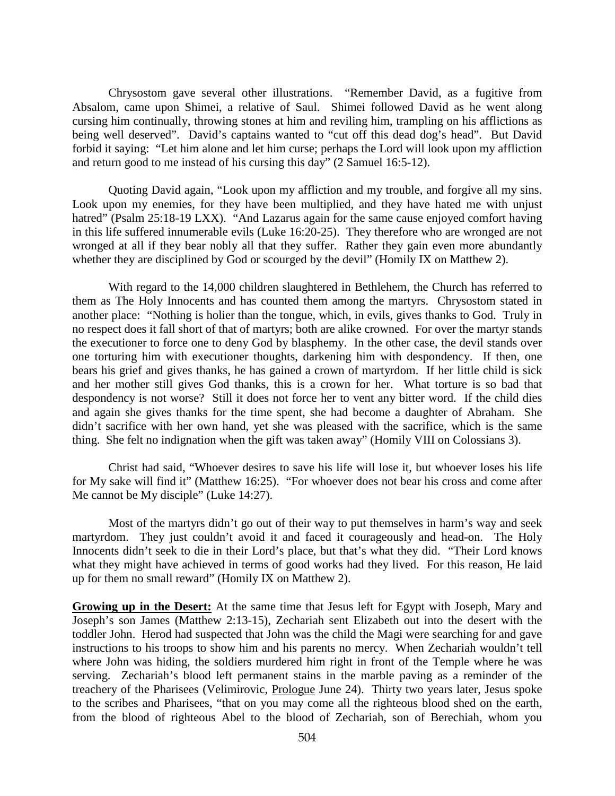Chrysostom gave several other illustrations. "Remember David, as a fugitive from Absalom, came upon Shimei, a relative of Saul. Shimei followed David as he went along cursing him continually, throwing stones at him and reviling him, trampling on his afflictions as being well deserved". David's captains wanted to "cut off this dead dog's head". But David forbid it saying: "Let him alone and let him curse; perhaps the Lord will look upon my affliction and return good to me instead of his cursing this day" (2 Samuel 16:5-12).

Quoting David again, "Look upon my affliction and my trouble, and forgive all my sins. Look upon my enemies, for they have been multiplied, and they have hated me with unjust hatred" (Psalm 25:18-19 LXX). "And Lazarus again for the same cause enjoyed comfort having in this life suffered innumerable evils (Luke 16:20-25). They therefore who are wronged are not wronged at all if they bear nobly all that they suffer. Rather they gain even more abundantly whether they are disciplined by God or scourged by the devil" (Homily IX on Matthew 2).

With regard to the 14,000 children slaughtered in Bethlehem, the Church has referred to them as The Holy Innocents and has counted them among the martyrs. Chrysostom stated in another place: "Nothing is holier than the tongue, which, in evils, gives thanks to God. Truly in no respect does it fall short of that of martyrs; both are alike crowned. For over the martyr stands the executioner to force one to deny God by blasphemy. In the other case, the devil stands over one torturing him with executioner thoughts, darkening him with despondency. If then, one bears his grief and gives thanks, he has gained a crown of martyrdom. If her little child is sick and her mother still gives God thanks, this is a crown for her. What torture is so bad that despondency is not worse? Still it does not force her to vent any bitter word. If the child dies and again she gives thanks for the time spent, she had become a daughter of Abraham. She didn't sacrifice with her own hand, yet she was pleased with the sacrifice, which is the same thing. She felt no indignation when the gift was taken away" (Homily VIII on Colossians 3).

Christ had said, "Whoever desires to save his life will lose it, but whoever loses his life for My sake will find it" (Matthew 16:25). "For whoever does not bear his cross and come after Me cannot be My disciple" (Luke 14:27).

Most of the martyrs didn't go out of their way to put themselves in harm's way and seek martyrdom. They just couldn't avoid it and faced it courageously and head-on. The Holy Innocents didn't seek to die in their Lord's place, but that's what they did. "Their Lord knows what they might have achieved in terms of good works had they lived. For this reason, He laid up for them no small reward" (Homily IX on Matthew 2).

**Growing up in the Desert:** At the same time that Jesus left for Egypt with Joseph, Mary and Joseph's son James (Matthew 2:13-15), Zechariah sent Elizabeth out into the desert with the toddler John. Herod had suspected that John was the child the Magi were searching for and gave instructions to his troops to show him and his parents no mercy. When Zechariah wouldn't tell where John was hiding, the soldiers murdered him right in front of the Temple where he was serving. Zechariah's blood left permanent stains in the marble paving as a reminder of the treachery of the Pharisees (Velimirovic, Prologue June 24). Thirty two years later, Jesus spoke to the scribes and Pharisees, "that on you may come all the righteous blood shed on the earth, from the blood of righteous Abel to the blood of Zechariah, son of Berechiah, whom you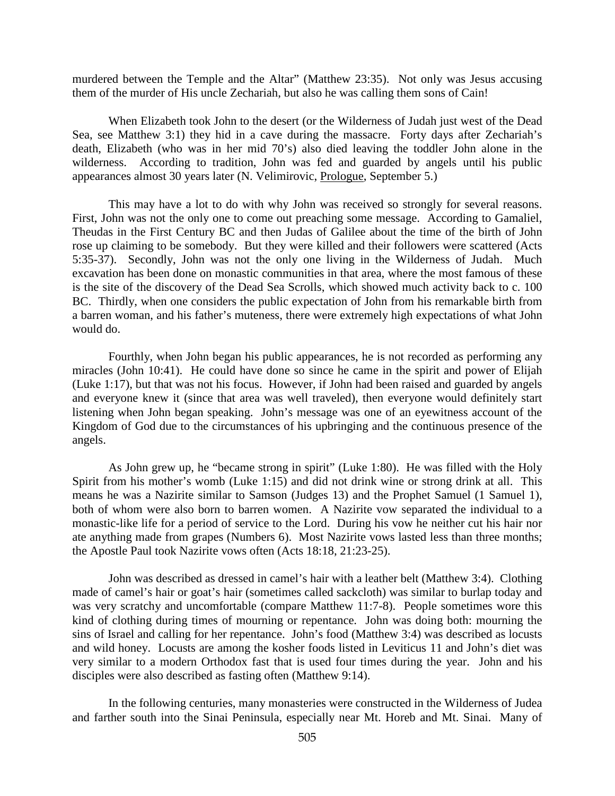murdered between the Temple and the Altar" (Matthew 23:35). Not only was Jesus accusing them of the murder of His uncle Zechariah, but also he was calling them sons of Cain!

When Elizabeth took John to the desert (or the Wilderness of Judah just west of the Dead Sea, see Matthew 3:1) they hid in a cave during the massacre. Forty days after Zechariah's death, Elizabeth (who was in her mid 70's) also died leaving the toddler John alone in the wilderness. According to tradition, John was fed and guarded by angels until his public appearances almost 30 years later (N. Velimirovic, Prologue, September 5.)

This may have a lot to do with why John was received so strongly for several reasons. First, John was not the only one to come out preaching some message. According to Gamaliel, Theudas in the First Century BC and then Judas of Galilee about the time of the birth of John rose up claiming to be somebody. But they were killed and their followers were scattered (Acts 5:35-37). Secondly, John was not the only one living in the Wilderness of Judah. Much excavation has been done on monastic communities in that area, where the most famous of these is the site of the discovery of the Dead Sea Scrolls, which showed much activity back to c. 100 BC. Thirdly, when one considers the public expectation of John from his remarkable birth from a barren woman, and his father's muteness, there were extremely high expectations of what John would do.

Fourthly, when John began his public appearances, he is not recorded as performing any miracles (John 10:41). He could have done so since he came in the spirit and power of Elijah (Luke 1:17), but that was not his focus. However, if John had been raised and guarded by angels and everyone knew it (since that area was well traveled), then everyone would definitely start listening when John began speaking. John's message was one of an eyewitness account of the Kingdom of God due to the circumstances of his upbringing and the continuous presence of the angels.

As John grew up, he "became strong in spirit" (Luke 1:80). He was filled with the Holy Spirit from his mother's womb (Luke 1:15) and did not drink wine or strong drink at all. This means he was a Nazirite similar to Samson (Judges 13) and the Prophet Samuel (1 Samuel 1), both of whom were also born to barren women. A Nazirite vow separated the individual to a monastic-like life for a period of service to the Lord. During his vow he neither cut his hair nor ate anything made from grapes (Numbers 6). Most Nazirite vows lasted less than three months; the Apostle Paul took Nazirite vows often (Acts 18:18, 21:23-25).

John was described as dressed in camel's hair with a leather belt (Matthew 3:4). Clothing made of camel's hair or goat's hair (sometimes called sackcloth) was similar to burlap today and was very scratchy and uncomfortable (compare Matthew 11:7-8). People sometimes wore this kind of clothing during times of mourning or repentance. John was doing both: mourning the sins of Israel and calling for her repentance. John's food (Matthew 3:4) was described as locusts and wild honey. Locusts are among the kosher foods listed in Leviticus 11 and John's diet was very similar to a modern Orthodox fast that is used four times during the year. John and his disciples were also described as fasting often (Matthew 9:14).

In the following centuries, many monasteries were constructed in the Wilderness of Judea and farther south into the Sinai Peninsula, especially near Mt. Horeb and Mt. Sinai. Many of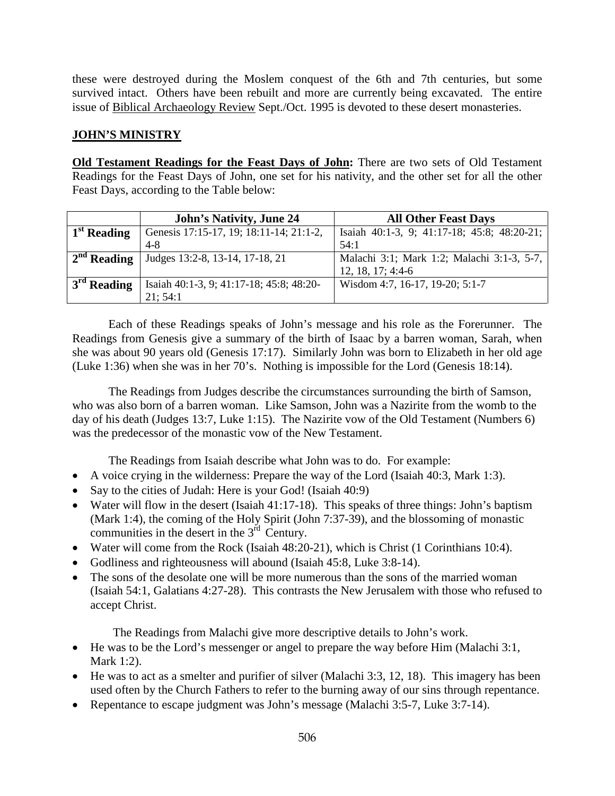these were destroyed during the Moslem conquest of the 6th and 7th centuries, but some survived intact. Others have been rebuilt and more are currently being excavated. The entire issue of Biblical Archaeology Review Sept./Oct. 1995 is devoted to these desert monasteries.

## **JOHN'S MINISTRY**

**Old Testament Readings for the Feast Days of John:** There are two sets of Old Testament Readings for the Feast Days of John, one set for his nativity, and the other set for all the other Feast Days, according to the Table below:

|                         | <b>John's Nativity, June 24</b>          | <b>All Other Feast Days</b>                 |
|-------------------------|------------------------------------------|---------------------------------------------|
| 1 <sup>st</sup> Reading | Genesis 17:15-17, 19; 18:11-14; 21:1-2,  | Isaiah 40:1-3, 9; 41:17-18; 45:8; 48:20-21; |
|                         | 4-8                                      | 54:1                                        |
| $2nd$ Reading           | Judges 13:2-8, 13-14, 17-18, 21          | Malachi 3:1; Mark 1:2; Malachi 3:1-3, 5-7,  |
|                         |                                          | $12, 18, 17; 4:4-6$                         |
| $3rd$ Reading           | Isaiah 40:1-3, 9; 41:17-18; 45:8; 48:20- | Wisdom 4:7, 16-17, 19-20; 5:1-7             |
|                         | 21:54:1                                  |                                             |

Each of these Readings speaks of John's message and his role as the Forerunner. The Readings from Genesis give a summary of the birth of Isaac by a barren woman, Sarah, when she was about 90 years old (Genesis 17:17). Similarly John was born to Elizabeth in her old age (Luke 1:36) when she was in her 70's. Nothing is impossible for the Lord (Genesis 18:14).

The Readings from Judges describe the circumstances surrounding the birth of Samson, who was also born of a barren woman. Like Samson, John was a Nazirite from the womb to the day of his death (Judges 13:7, Luke 1:15). The Nazirite vow of the Old Testament (Numbers 6) was the predecessor of the monastic vow of the New Testament.

The Readings from Isaiah describe what John was to do. For example:

- A voice crying in the wilderness: Prepare the way of the Lord (Isaiah 40:3, Mark 1:3).
- Say to the cities of Judah: Here is your God! (Isaiah 40:9)
- Water will flow in the desert (Isaiah 41:17-18). This speaks of three things: John's baptism (Mark 1:4), the coming of the Holy Spirit (John 7:37-39), and the blossoming of monastic communities in the desert in the  $3<sup>rd</sup>$  Century.
- Water will come from the Rock (Isaiah 48:20-21), which is Christ (1 Corinthians 10:4).
- Godliness and righteousness will abound (Isaiah 45:8, Luke 3:8-14).
- The sons of the desolate one will be more numerous than the sons of the married woman (Isaiah 54:1, Galatians 4:27-28). This contrasts the New Jerusalem with those who refused to accept Christ.

The Readings from Malachi give more descriptive details to John's work.

- He was to be the Lord's messenger or angel to prepare the way before Him (Malachi 3:1, Mark 1:2).
- He was to act as a smelter and purifier of silver (Malachi 3:3, 12, 18). This imagery has been used often by the Church Fathers to refer to the burning away of our sins through repentance.
- Repentance to escape judgment was John's message (Malachi 3:5-7, Luke 3:7-14).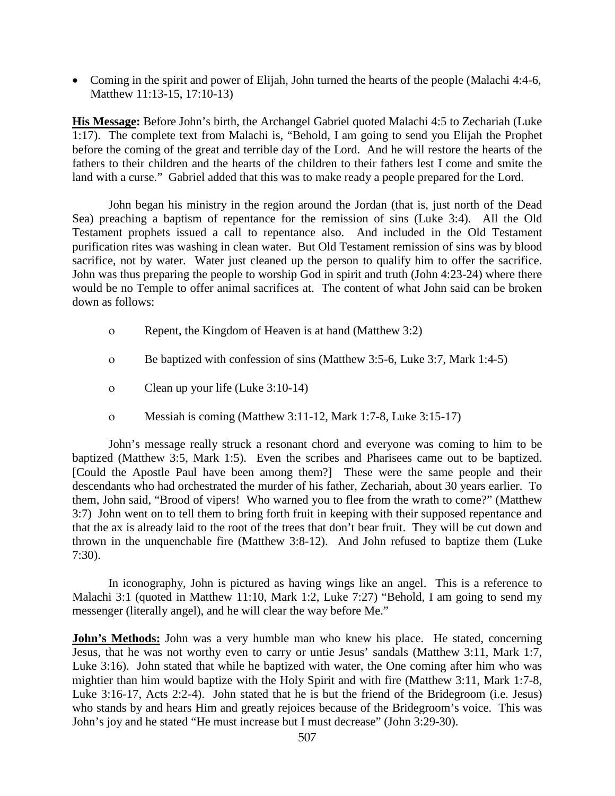• Coming in the spirit and power of Elijah, John turned the hearts of the people (Malachi 4:4-6, Matthew 11:13-15, 17:10-13)

**His Message:** Before John's birth, the Archangel Gabriel quoted Malachi 4:5 to Zechariah (Luke 1:17). The complete text from Malachi is, "Behold, I am going to send you Elijah the Prophet before the coming of the great and terrible day of the Lord. And he will restore the hearts of the fathers to their children and the hearts of the children to their fathers lest I come and smite the land with a curse." Gabriel added that this was to make ready a people prepared for the Lord.

John began his ministry in the region around the Jordan (that is, just north of the Dead Sea) preaching a baptism of repentance for the remission of sins (Luke 3:4). All the Old Testament prophets issued a call to repentance also. And included in the Old Testament purification rites was washing in clean water. But Old Testament remission of sins was by blood sacrifice, not by water. Water just cleaned up the person to qualify him to offer the sacrifice. John was thus preparing the people to worship God in spirit and truth (John 4:23-24) where there would be no Temple to offer animal sacrifices at. The content of what John said can be broken down as follows:

- ο Repent, the Kingdom of Heaven is at hand (Matthew 3:2)
- ο Be baptized with confession of sins (Matthew 3:5-6, Luke 3:7, Mark 1:4-5)
- ο Clean up your life (Luke 3:10-14)
- ο Messiah is coming (Matthew 3:11-12, Mark 1:7-8, Luke 3:15-17)

John's message really struck a resonant chord and everyone was coming to him to be baptized (Matthew 3:5, Mark 1:5). Even the scribes and Pharisees came out to be baptized. [Could the Apostle Paul have been among them?] These were the same people and their descendants who had orchestrated the murder of his father, Zechariah, about 30 years earlier. To them, John said, "Brood of vipers! Who warned you to flee from the wrath to come?" (Matthew 3:7) John went on to tell them to bring forth fruit in keeping with their supposed repentance and that the ax is already laid to the root of the trees that don't bear fruit. They will be cut down and thrown in the unquenchable fire (Matthew 3:8-12). And John refused to baptize them (Luke 7:30).

In iconography, John is pictured as having wings like an angel. This is a reference to Malachi 3:1 (quoted in Matthew 11:10, Mark 1:2, Luke 7:27) "Behold, I am going to send my messenger (literally angel), and he will clear the way before Me."

**John's Methods:** John was a very humble man who knew his place. He stated, concerning Jesus, that he was not worthy even to carry or untie Jesus' sandals (Matthew 3:11, Mark 1:7, Luke 3:16). John stated that while he baptized with water, the One coming after him who was mightier than him would baptize with the Holy Spirit and with fire (Matthew 3:11, Mark 1:7-8, Luke 3:16-17, Acts 2:2-4). John stated that he is but the friend of the Bridegroom (i.e. Jesus) who stands by and hears Him and greatly rejoices because of the Bridegroom's voice. This was John's joy and he stated "He must increase but I must decrease" (John 3:29-30).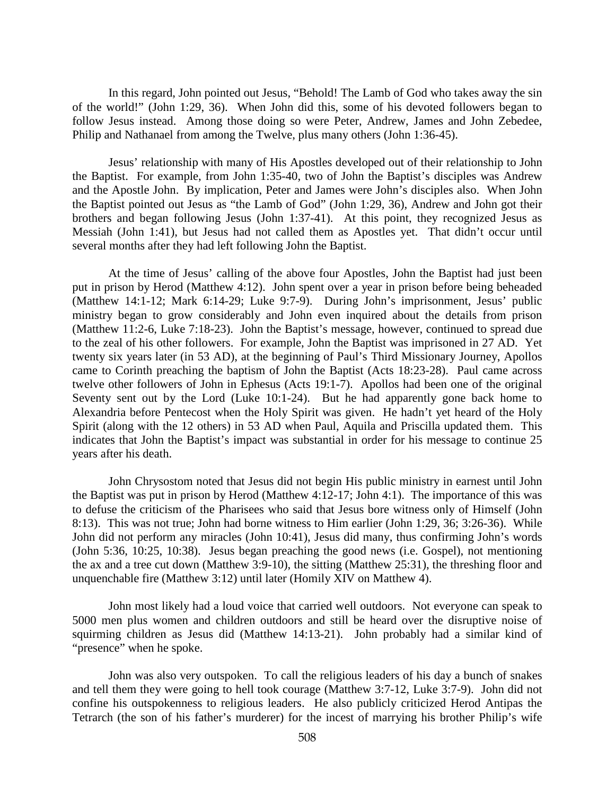In this regard, John pointed out Jesus, "Behold! The Lamb of God who takes away the sin of the world!" (John 1:29, 36). When John did this, some of his devoted followers began to follow Jesus instead. Among those doing so were Peter, Andrew, James and John Zebedee, Philip and Nathanael from among the Twelve, plus many others (John 1:36-45).

Jesus' relationship with many of His Apostles developed out of their relationship to John the Baptist. For example, from John 1:35-40, two of John the Baptist's disciples was Andrew and the Apostle John. By implication, Peter and James were John's disciples also. When John the Baptist pointed out Jesus as "the Lamb of God" (John 1:29, 36), Andrew and John got their brothers and began following Jesus (John 1:37-41). At this point, they recognized Jesus as Messiah (John 1:41), but Jesus had not called them as Apostles yet. That didn't occur until several months after they had left following John the Baptist.

At the time of Jesus' calling of the above four Apostles, John the Baptist had just been put in prison by Herod (Matthew 4:12). John spent over a year in prison before being beheaded (Matthew 14:1-12; Mark 6:14-29; Luke 9:7-9). During John's imprisonment, Jesus' public ministry began to grow considerably and John even inquired about the details from prison (Matthew 11:2-6, Luke 7:18-23). John the Baptist's message, however, continued to spread due to the zeal of his other followers. For example, John the Baptist was imprisoned in 27 AD. Yet twenty six years later (in 53 AD), at the beginning of Paul's Third Missionary Journey, Apollos came to Corinth preaching the baptism of John the Baptist (Acts 18:23-28). Paul came across twelve other followers of John in Ephesus (Acts 19:1-7). Apollos had been one of the original Seventy sent out by the Lord (Luke 10:1-24). But he had apparently gone back home to Alexandria before Pentecost when the Holy Spirit was given. He hadn't yet heard of the Holy Spirit (along with the 12 others) in 53 AD when Paul, Aquila and Priscilla updated them. This indicates that John the Baptist's impact was substantial in order for his message to continue 25 years after his death.

John Chrysostom noted that Jesus did not begin His public ministry in earnest until John the Baptist was put in prison by Herod (Matthew 4:12-17; John 4:1). The importance of this was to defuse the criticism of the Pharisees who said that Jesus bore witness only of Himself (John 8:13). This was not true; John had borne witness to Him earlier (John 1:29, 36; 3:26-36). While John did not perform any miracles (John 10:41), Jesus did many, thus confirming John's words (John 5:36, 10:25, 10:38). Jesus began preaching the good news (i.e. Gospel), not mentioning the ax and a tree cut down (Matthew 3:9-10), the sitting (Matthew 25:31), the threshing floor and unquenchable fire (Matthew 3:12) until later (Homily XIV on Matthew 4).

John most likely had a loud voice that carried well outdoors. Not everyone can speak to 5000 men plus women and children outdoors and still be heard over the disruptive noise of squirming children as Jesus did (Matthew 14:13-21). John probably had a similar kind of "presence" when he spoke.

John was also very outspoken. To call the religious leaders of his day a bunch of snakes and tell them they were going to hell took courage (Matthew 3:7-12, Luke 3:7-9). John did not confine his outspokenness to religious leaders. He also publicly criticized Herod Antipas the Tetrarch (the son of his father's murderer) for the incest of marrying his brother Philip's wife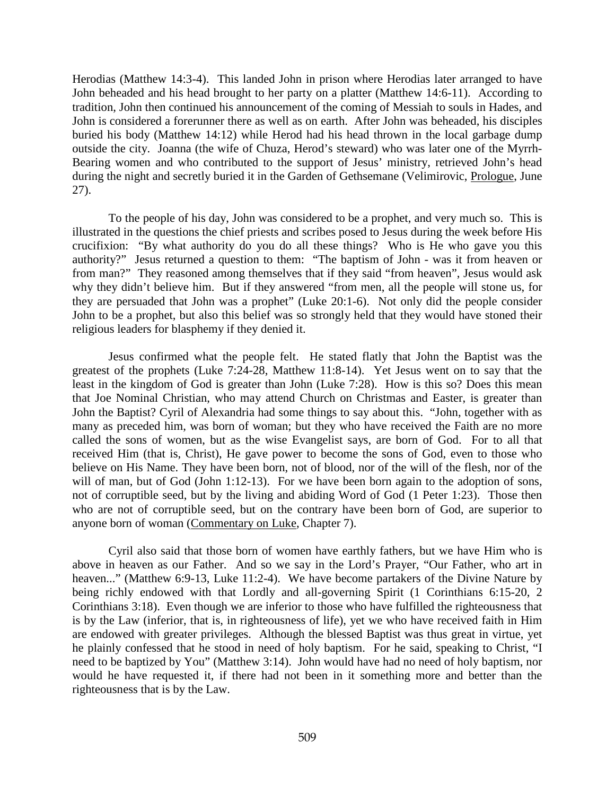Herodias (Matthew 14:3-4). This landed John in prison where Herodias later arranged to have John beheaded and his head brought to her party on a platter (Matthew 14:6-11). According to tradition, John then continued his announcement of the coming of Messiah to souls in Hades, and John is considered a forerunner there as well as on earth. After John was beheaded, his disciples buried his body (Matthew 14:12) while Herod had his head thrown in the local garbage dump outside the city. Joanna (the wife of Chuza, Herod's steward) who was later one of the Myrrh-Bearing women and who contributed to the support of Jesus' ministry, retrieved John's head during the night and secretly buried it in the Garden of Gethsemane (Velimirovic, Prologue, June 27).

To the people of his day, John was considered to be a prophet, and very much so. This is illustrated in the questions the chief priests and scribes posed to Jesus during the week before His crucifixion: "By what authority do you do all these things? Who is He who gave you this authority?" Jesus returned a question to them: "The baptism of John - was it from heaven or from man?" They reasoned among themselves that if they said "from heaven", Jesus would ask why they didn't believe him. But if they answered "from men, all the people will stone us, for they are persuaded that John was a prophet" (Luke 20:1-6). Not only did the people consider John to be a prophet, but also this belief was so strongly held that they would have stoned their religious leaders for blasphemy if they denied it.

Jesus confirmed what the people felt. He stated flatly that John the Baptist was the greatest of the prophets (Luke 7:24-28, Matthew 11:8-14). Yet Jesus went on to say that the least in the kingdom of God is greater than John (Luke 7:28). How is this so? Does this mean that Joe Nominal Christian, who may attend Church on Christmas and Easter, is greater than John the Baptist? Cyril of Alexandria had some things to say about this. "John, together with as many as preceded him, was born of woman; but they who have received the Faith are no more called the sons of women, but as the wise Evangelist says, are born of God. For to all that received Him (that is, Christ), He gave power to become the sons of God, even to those who believe on His Name. They have been born, not of blood, nor of the will of the flesh, nor of the will of man, but of God (John 1:12-13). For we have been born again to the adoption of sons, not of corruptible seed, but by the living and abiding Word of God (1 Peter 1:23). Those then who are not of corruptible seed, but on the contrary have been born of God, are superior to anyone born of woman (Commentary on Luke, Chapter 7).

Cyril also said that those born of women have earthly fathers, but we have Him who is above in heaven as our Father. And so we say in the Lord's Prayer, "Our Father, who art in heaven..." (Matthew 6:9-13, Luke 11:2-4). We have become partakers of the Divine Nature by being richly endowed with that Lordly and all-governing Spirit (1 Corinthians 6:15-20, 2 Corinthians 3:18). Even though we are inferior to those who have fulfilled the righteousness that is by the Law (inferior, that is, in righteousness of life), yet we who have received faith in Him are endowed with greater privileges. Although the blessed Baptist was thus great in virtue, yet he plainly confessed that he stood in need of holy baptism. For he said, speaking to Christ, "I need to be baptized by You" (Matthew 3:14). John would have had no need of holy baptism, nor would he have requested it, if there had not been in it something more and better than the righteousness that is by the Law.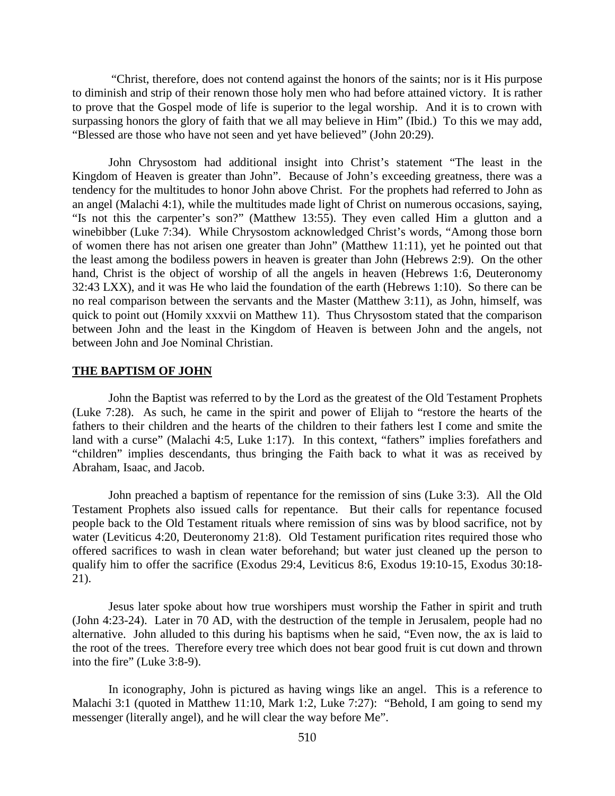"Christ, therefore, does not contend against the honors of the saints; nor is it His purpose to diminish and strip of their renown those holy men who had before attained victory. It is rather to prove that the Gospel mode of life is superior to the legal worship. And it is to crown with surpassing honors the glory of faith that we all may believe in Him" (Ibid.) To this we may add, "Blessed are those who have not seen and yet have believed" (John 20:29).

John Chrysostom had additional insight into Christ's statement "The least in the Kingdom of Heaven is greater than John". Because of John's exceeding greatness, there was a tendency for the multitudes to honor John above Christ. For the prophets had referred to John as an angel (Malachi 4:1), while the multitudes made light of Christ on numerous occasions, saying, "Is not this the carpenter's son?" (Matthew 13:55). They even called Him a glutton and a winebibber (Luke 7:34). While Chrysostom acknowledged Christ's words, "Among those born of women there has not arisen one greater than John" (Matthew 11:11), yet he pointed out that the least among the bodiless powers in heaven is greater than John (Hebrews 2:9). On the other hand, Christ is the object of worship of all the angels in heaven (Hebrews 1:6, Deuteronomy 32:43 LXX), and it was He who laid the foundation of the earth (Hebrews 1:10). So there can be no real comparison between the servants and the Master (Matthew 3:11), as John, himself, was quick to point out (Homily xxxvii on Matthew 11). Thus Chrysostom stated that the comparison between John and the least in the Kingdom of Heaven is between John and the angels, not between John and Joe Nominal Christian.

#### **THE BAPTISM OF JOHN**

John the Baptist was referred to by the Lord as the greatest of the Old Testament Prophets (Luke 7:28). As such, he came in the spirit and power of Elijah to "restore the hearts of the fathers to their children and the hearts of the children to their fathers lest I come and smite the land with a curse" (Malachi 4:5, Luke 1:17). In this context, "fathers" implies forefathers and "children" implies descendants, thus bringing the Faith back to what it was as received by Abraham, Isaac, and Jacob.

John preached a baptism of repentance for the remission of sins (Luke 3:3). All the Old Testament Prophets also issued calls for repentance. But their calls for repentance focused people back to the Old Testament rituals where remission of sins was by blood sacrifice, not by water (Leviticus 4:20, Deuteronomy 21:8). Old Testament purification rites required those who offered sacrifices to wash in clean water beforehand; but water just cleaned up the person to qualify him to offer the sacrifice (Exodus 29:4, Leviticus 8:6, Exodus 19:10-15, Exodus 30:18- 21).

Jesus later spoke about how true worshipers must worship the Father in spirit and truth (John 4:23-24). Later in 70 AD, with the destruction of the temple in Jerusalem, people had no alternative. John alluded to this during his baptisms when he said, "Even now, the ax is laid to the root of the trees. Therefore every tree which does not bear good fruit is cut down and thrown into the fire" (Luke 3:8-9).

In iconography, John is pictured as having wings like an angel. This is a reference to Malachi 3:1 (quoted in Matthew 11:10, Mark 1:2, Luke 7:27): "Behold, I am going to send my messenger (literally angel), and he will clear the way before Me".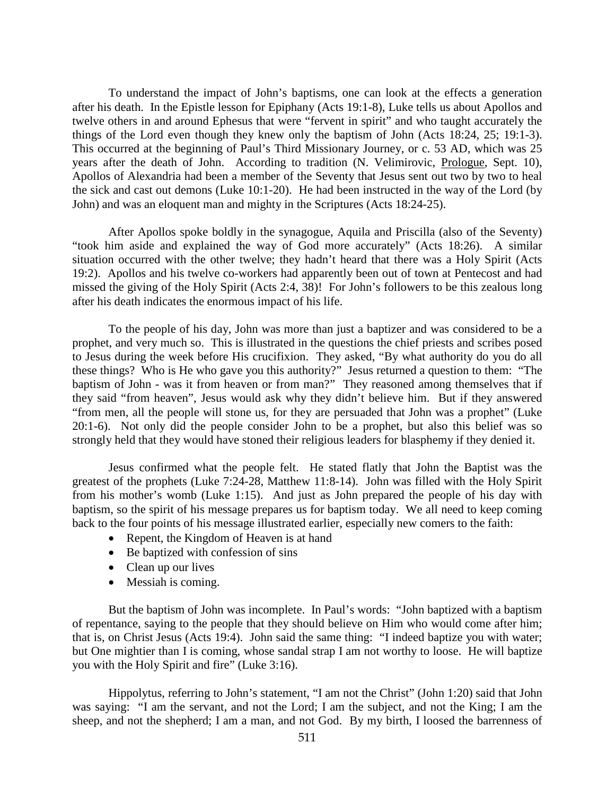To understand the impact of John's baptisms, one can look at the effects a generation after his death. In the Epistle lesson for Epiphany (Acts 19:1-8), Luke tells us about Apollos and twelve others in and around Ephesus that were "fervent in spirit" and who taught accurately the things of the Lord even though they knew only the baptism of John (Acts 18:24, 25; 19:1-3). This occurred at the beginning of Paul's Third Missionary Journey, or c. 53 AD, which was 25 years after the death of John. According to tradition (N. Velimirovic, Prologue, Sept. 10), Apollos of Alexandria had been a member of the Seventy that Jesus sent out two by two to heal the sick and cast out demons (Luke 10:1-20). He had been instructed in the way of the Lord (by John) and was an eloquent man and mighty in the Scriptures (Acts 18:24-25).

After Apollos spoke boldly in the synagogue, Aquila and Priscilla (also of the Seventy) "took him aside and explained the way of God more accurately" (Acts 18:26). A similar situation occurred with the other twelve; they hadn't heard that there was a Holy Spirit (Acts 19:2). Apollos and his twelve co-workers had apparently been out of town at Pentecost and had missed the giving of the Holy Spirit (Acts 2:4, 38)! For John's followers to be this zealous long after his death indicates the enormous impact of his life.

To the people of his day, John was more than just a baptizer and was considered to be a prophet, and very much so. This is illustrated in the questions the chief priests and scribes posed to Jesus during the week before His crucifixion. They asked, "By what authority do you do all these things? Who is He who gave you this authority?" Jesus returned a question to them: "The baptism of John - was it from heaven or from man?" They reasoned among themselves that if they said "from heaven", Jesus would ask why they didn't believe him. But if they answered "from men, all the people will stone us, for they are persuaded that John was a prophet" (Luke 20:1-6). Not only did the people consider John to be a prophet, but also this belief was so strongly held that they would have stoned their religious leaders for blasphemy if they denied it.

Jesus confirmed what the people felt. He stated flatly that John the Baptist was the greatest of the prophets (Luke 7:24-28, Matthew 11:8-14). John was filled with the Holy Spirit from his mother's womb (Luke 1:15). And just as John prepared the people of his day with baptism, so the spirit of his message prepares us for baptism today. We all need to keep coming back to the four points of his message illustrated earlier, especially new comers to the faith:

- Repent, the Kingdom of Heaven is at hand
- Be baptized with confession of sins
- Clean up our lives
- Messiah is coming.

But the baptism of John was incomplete. In Paul's words: "John baptized with a baptism of repentance, saying to the people that they should believe on Him who would come after him; that is, on Christ Jesus (Acts 19:4). John said the same thing: "I indeed baptize you with water; but One mightier than I is coming, whose sandal strap I am not worthy to loose. He will baptize you with the Holy Spirit and fire" (Luke 3:16).

Hippolytus, referring to John's statement, "I am not the Christ" (John 1:20) said that John was saying: "I am the servant, and not the Lord; I am the subject, and not the King; I am the sheep, and not the shepherd; I am a man, and not God. By my birth, I loosed the barrenness of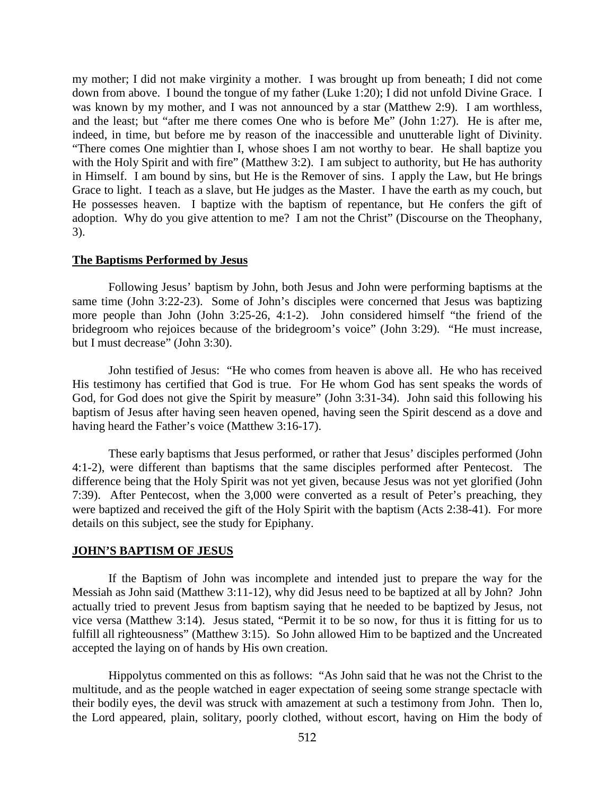my mother; I did not make virginity a mother. I was brought up from beneath; I did not come down from above. I bound the tongue of my father (Luke 1:20); I did not unfold Divine Grace. I was known by my mother, and I was not announced by a star (Matthew 2:9). I am worthless, and the least; but "after me there comes One who is before Me" (John 1:27). He is after me, indeed, in time, but before me by reason of the inaccessible and unutterable light of Divinity. "There comes One mightier than I, whose shoes I am not worthy to bear. He shall baptize you with the Holy Spirit and with fire" (Matthew 3:2). I am subject to authority, but He has authority in Himself. I am bound by sins, but He is the Remover of sins. I apply the Law, but He brings Grace to light. I teach as a slave, but He judges as the Master. I have the earth as my couch, but He possesses heaven. I baptize with the baptism of repentance, but He confers the gift of adoption. Why do you give attention to me? I am not the Christ" (Discourse on the Theophany, 3).

#### **The Baptisms Performed by Jesus**

Following Jesus' baptism by John, both Jesus and John were performing baptisms at the same time (John 3:22-23). Some of John's disciples were concerned that Jesus was baptizing more people than John (John 3:25-26, 4:1-2). John considered himself "the friend of the bridegroom who rejoices because of the bridegroom's voice" (John 3:29). "He must increase, but I must decrease" (John 3:30).

John testified of Jesus: "He who comes from heaven is above all. He who has received His testimony has certified that God is true. For He whom God has sent speaks the words of God, for God does not give the Spirit by measure" (John 3:31-34). John said this following his baptism of Jesus after having seen heaven opened, having seen the Spirit descend as a dove and having heard the Father's voice (Matthew 3:16-17).

These early baptisms that Jesus performed, or rather that Jesus' disciples performed (John 4:1-2), were different than baptisms that the same disciples performed after Pentecost. The difference being that the Holy Spirit was not yet given, because Jesus was not yet glorified (John 7:39). After Pentecost, when the 3,000 were converted as a result of Peter's preaching, they were baptized and received the gift of the Holy Spirit with the baptism (Acts 2:38-41). For more details on this subject, see the study for Epiphany.

#### **JOHN'S BAPTISM OF JESUS**

If the Baptism of John was incomplete and intended just to prepare the way for the Messiah as John said (Matthew 3:11-12), why did Jesus need to be baptized at all by John? John actually tried to prevent Jesus from baptism saying that he needed to be baptized by Jesus, not vice versa (Matthew 3:14). Jesus stated, "Permit it to be so now, for thus it is fitting for us to fulfill all righteousness" (Matthew 3:15). So John allowed Him to be baptized and the Uncreated accepted the laying on of hands by His own creation.

Hippolytus commented on this as follows: "As John said that he was not the Christ to the multitude, and as the people watched in eager expectation of seeing some strange spectacle with their bodily eyes, the devil was struck with amazement at such a testimony from John. Then lo, the Lord appeared, plain, solitary, poorly clothed, without escort, having on Him the body of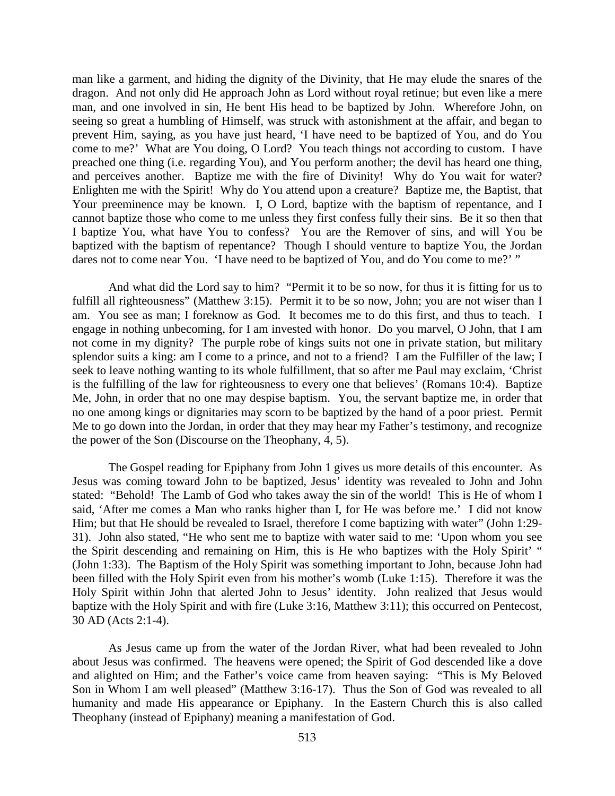man like a garment, and hiding the dignity of the Divinity, that He may elude the snares of the dragon. And not only did He approach John as Lord without royal retinue; but even like a mere man, and one involved in sin, He bent His head to be baptized by John. Wherefore John, on seeing so great a humbling of Himself, was struck with astonishment at the affair, and began to prevent Him, saying, as you have just heard, 'I have need to be baptized of You, and do You come to me?' What are You doing, O Lord? You teach things not according to custom. I have preached one thing (i.e. regarding You), and You perform another; the devil has heard one thing, and perceives another. Baptize me with the fire of Divinity! Why do You wait for water? Enlighten me with the Spirit! Why do You attend upon a creature? Baptize me, the Baptist, that Your preeminence may be known. I, O Lord, baptize with the baptism of repentance, and I cannot baptize those who come to me unless they first confess fully their sins. Be it so then that I baptize You, what have You to confess? You are the Remover of sins, and will You be baptized with the baptism of repentance? Though I should venture to baptize You, the Jordan dares not to come near You. 'I have need to be baptized of You, and do You come to me?' "

And what did the Lord say to him? "Permit it to be so now, for thus it is fitting for us to fulfill all righteousness" (Matthew 3:15). Permit it to be so now, John; you are not wiser than I am. You see as man; I foreknow as God. It becomes me to do this first, and thus to teach. I engage in nothing unbecoming, for I am invested with honor. Do you marvel, O John, that I am not come in my dignity? The purple robe of kings suits not one in private station, but military splendor suits a king: am I come to a prince, and not to a friend? I am the Fulfiller of the law; I seek to leave nothing wanting to its whole fulfillment, that so after me Paul may exclaim, 'Christ is the fulfilling of the law for righteousness to every one that believes' (Romans 10:4). Baptize Me, John, in order that no one may despise baptism. You, the servant baptize me, in order that no one among kings or dignitaries may scorn to be baptized by the hand of a poor priest. Permit Me to go down into the Jordan, in order that they may hear my Father's testimony, and recognize the power of the Son (Discourse on the Theophany, 4, 5).

The Gospel reading for Epiphany from John 1 gives us more details of this encounter. As Jesus was coming toward John to be baptized, Jesus' identity was revealed to John and John stated: "Behold! The Lamb of God who takes away the sin of the world! This is He of whom I said, 'After me comes a Man who ranks higher than I, for He was before me.' I did not know Him; but that He should be revealed to Israel, therefore I come baptizing with water" (John 1:29- 31). John also stated, "He who sent me to baptize with water said to me: 'Upon whom you see the Spirit descending and remaining on Him, this is He who baptizes with the Holy Spirit' " (John 1:33). The Baptism of the Holy Spirit was something important to John, because John had been filled with the Holy Spirit even from his mother's womb (Luke 1:15). Therefore it was the Holy Spirit within John that alerted John to Jesus' identity. John realized that Jesus would baptize with the Holy Spirit and with fire (Luke 3:16, Matthew 3:11); this occurred on Pentecost, 30 AD (Acts 2:1-4).

As Jesus came up from the water of the Jordan River, what had been revealed to John about Jesus was confirmed. The heavens were opened; the Spirit of God descended like a dove and alighted on Him; and the Father's voice came from heaven saying: "This is My Beloved Son in Whom I am well pleased" (Matthew 3:16-17). Thus the Son of God was revealed to all humanity and made His appearance or Epiphany. In the Eastern Church this is also called Theophany (instead of Epiphany) meaning a manifestation of God.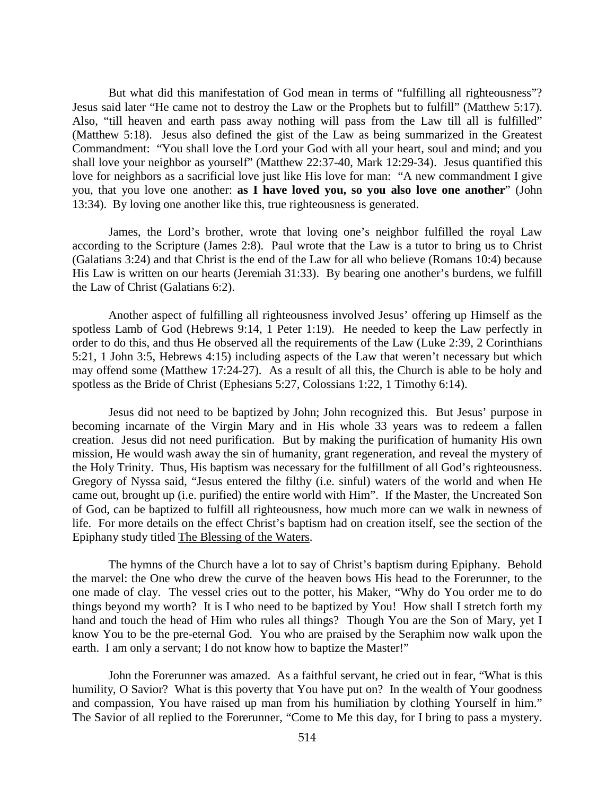But what did this manifestation of God mean in terms of "fulfilling all righteousness"? Jesus said later "He came not to destroy the Law or the Prophets but to fulfill" (Matthew 5:17). Also, "till heaven and earth pass away nothing will pass from the Law till all is fulfilled" (Matthew 5:18). Jesus also defined the gist of the Law as being summarized in the Greatest Commandment: "You shall love the Lord your God with all your heart, soul and mind; and you shall love your neighbor as yourself" (Matthew 22:37-40, Mark 12:29-34). Jesus quantified this love for neighbors as a sacrificial love just like His love for man: "A new commandment I give you, that you love one another: **as I have loved you, so you also love one another**" (John 13:34). By loving one another like this, true righteousness is generated.

James, the Lord's brother, wrote that loving one's neighbor fulfilled the royal Law according to the Scripture (James 2:8). Paul wrote that the Law is a tutor to bring us to Christ (Galatians 3:24) and that Christ is the end of the Law for all who believe (Romans 10:4) because His Law is written on our hearts (Jeremiah 31:33). By bearing one another's burdens, we fulfill the Law of Christ (Galatians 6:2).

Another aspect of fulfilling all righteousness involved Jesus' offering up Himself as the spotless Lamb of God (Hebrews 9:14, 1 Peter 1:19). He needed to keep the Law perfectly in order to do this, and thus He observed all the requirements of the Law (Luke 2:39, 2 Corinthians 5:21, 1 John 3:5, Hebrews 4:15) including aspects of the Law that weren't necessary but which may offend some (Matthew 17:24-27). As a result of all this, the Church is able to be holy and spotless as the Bride of Christ (Ephesians 5:27, Colossians 1:22, 1 Timothy 6:14).

Jesus did not need to be baptized by John; John recognized this. But Jesus' purpose in becoming incarnate of the Virgin Mary and in His whole 33 years was to redeem a fallen creation. Jesus did not need purification. But by making the purification of humanity His own mission, He would wash away the sin of humanity, grant regeneration, and reveal the mystery of the Holy Trinity. Thus, His baptism was necessary for the fulfillment of all God's righteousness. Gregory of Nyssa said, "Jesus entered the filthy (i.e. sinful) waters of the world and when He came out, brought up (i.e. purified) the entire world with Him". If the Master, the Uncreated Son of God, can be baptized to fulfill all righteousness, how much more can we walk in newness of life. For more details on the effect Christ's baptism had on creation itself, see the section of the Epiphany study titled The Blessing of the Waters.

The hymns of the Church have a lot to say of Christ's baptism during Epiphany. Behold the marvel: the One who drew the curve of the heaven bows His head to the Forerunner, to the one made of clay. The vessel cries out to the potter, his Maker, "Why do You order me to do things beyond my worth? It is I who need to be baptized by You! How shall I stretch forth my hand and touch the head of Him who rules all things? Though You are the Son of Mary, yet I know You to be the pre-eternal God. You who are praised by the Seraphim now walk upon the earth. I am only a servant; I do not know how to baptize the Master!"

John the Forerunner was amazed. As a faithful servant, he cried out in fear, "What is this humility, O Savior? What is this poverty that You have put on? In the wealth of Your goodness and compassion, You have raised up man from his humiliation by clothing Yourself in him." The Savior of all replied to the Forerunner, "Come to Me this day, for I bring to pass a mystery.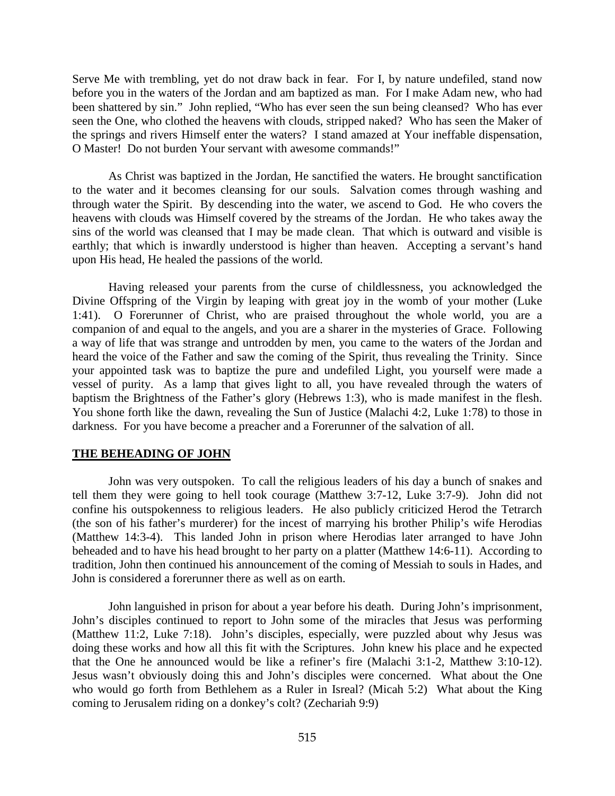Serve Me with trembling, yet do not draw back in fear. For I, by nature undefiled, stand now before you in the waters of the Jordan and am baptized as man. For I make Adam new, who had been shattered by sin." John replied, "Who has ever seen the sun being cleansed? Who has ever seen the One, who clothed the heavens with clouds, stripped naked? Who has seen the Maker of the springs and rivers Himself enter the waters? I stand amazed at Your ineffable dispensation, O Master! Do not burden Your servant with awesome commands!"

As Christ was baptized in the Jordan, He sanctified the waters. He brought sanctification to the water and it becomes cleansing for our souls. Salvation comes through washing and through water the Spirit. By descending into the water, we ascend to God. He who covers the heavens with clouds was Himself covered by the streams of the Jordan. He who takes away the sins of the world was cleansed that I may be made clean. That which is outward and visible is earthly; that which is inwardly understood is higher than heaven. Accepting a servant's hand upon His head, He healed the passions of the world.

Having released your parents from the curse of childlessness, you acknowledged the Divine Offspring of the Virgin by leaping with great joy in the womb of your mother (Luke 1:41). O Forerunner of Christ, who are praised throughout the whole world, you are a companion of and equal to the angels, and you are a sharer in the mysteries of Grace. Following a way of life that was strange and untrodden by men, you came to the waters of the Jordan and heard the voice of the Father and saw the coming of the Spirit, thus revealing the Trinity. Since your appointed task was to baptize the pure and undefiled Light, you yourself were made a vessel of purity. As a lamp that gives light to all, you have revealed through the waters of baptism the Brightness of the Father's glory (Hebrews 1:3), who is made manifest in the flesh. You shone forth like the dawn, revealing the Sun of Justice (Malachi 4:2, Luke 1:78) to those in darkness. For you have become a preacher and a Forerunner of the salvation of all.

#### **THE BEHEADING OF JOHN**

John was very outspoken. To call the religious leaders of his day a bunch of snakes and tell them they were going to hell took courage (Matthew 3:7-12, Luke 3:7-9). John did not confine his outspokenness to religious leaders. He also publicly criticized Herod the Tetrarch (the son of his father's murderer) for the incest of marrying his brother Philip's wife Herodias (Matthew 14:3-4). This landed John in prison where Herodias later arranged to have John beheaded and to have his head brought to her party on a platter (Matthew 14:6-11). According to tradition, John then continued his announcement of the coming of Messiah to souls in Hades, and John is considered a forerunner there as well as on earth.

John languished in prison for about a year before his death. During John's imprisonment, John's disciples continued to report to John some of the miracles that Jesus was performing (Matthew 11:2, Luke 7:18). John's disciples, especially, were puzzled about why Jesus was doing these works and how all this fit with the Scriptures. John knew his place and he expected that the One he announced would be like a refiner's fire (Malachi 3:1-2, Matthew 3:10-12). Jesus wasn't obviously doing this and John's disciples were concerned. What about the One who would go forth from Bethlehem as a Ruler in Isreal? (Micah 5:2) What about the King coming to Jerusalem riding on a donkey's colt? (Zechariah 9:9)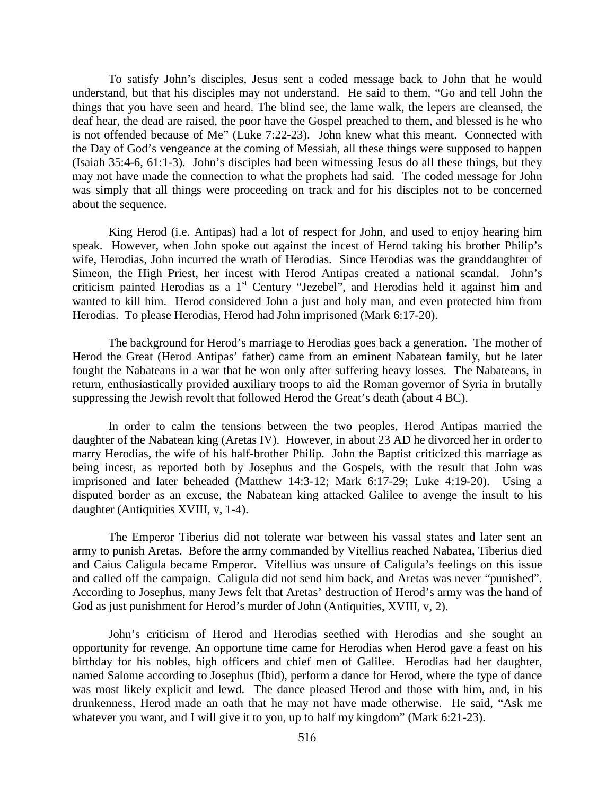To satisfy John's disciples, Jesus sent a coded message back to John that he would understand, but that his disciples may not understand. He said to them, "Go and tell John the things that you have seen and heard. The blind see, the lame walk, the lepers are cleansed, the deaf hear, the dead are raised, the poor have the Gospel preached to them, and blessed is he who is not offended because of Me" (Luke 7:22-23). John knew what this meant. Connected with the Day of God's vengeance at the coming of Messiah, all these things were supposed to happen (Isaiah 35:4-6, 61:1-3). John's disciples had been witnessing Jesus do all these things, but they may not have made the connection to what the prophets had said. The coded message for John was simply that all things were proceeding on track and for his disciples not to be concerned about the sequence.

King Herod (i.e. Antipas) had a lot of respect for John, and used to enjoy hearing him speak. However, when John spoke out against the incest of Herod taking his brother Philip's wife, Herodias, John incurred the wrath of Herodias. Since Herodias was the granddaughter of Simeon, the High Priest, her incest with Herod Antipas created a national scandal. John's criticism painted Herodias as a 1<sup>st</sup> Century "Jezebel", and Herodias held it against him and wanted to kill him. Herod considered John a just and holy man, and even protected him from Herodias. To please Herodias, Herod had John imprisoned (Mark 6:17-20).

The background for Herod's marriage to Herodias goes back a generation. The mother of Herod the Great (Herod Antipas' father) came from an eminent Nabatean family, but he later fought the Nabateans in a war that he won only after suffering heavy losses. The Nabateans, in return, enthusiastically provided auxiliary troops to aid the Roman governor of Syria in brutally suppressing the Jewish revolt that followed Herod the Great's death (about 4 BC).

In order to calm the tensions between the two peoples, Herod Antipas married the daughter of the Nabatean king (Aretas IV). However, in about 23 AD he divorced her in order to marry Herodias, the wife of his half-brother Philip. John the Baptist criticized this marriage as being incest, as reported both by Josephus and the Gospels, with the result that John was imprisoned and later beheaded (Matthew 14:3-12; Mark 6:17-29; Luke 4:19-20). Using a disputed border as an excuse, the Nabatean king attacked Galilee to avenge the insult to his daughter (Antiquities XVIII, v, 1-4).

The Emperor Tiberius did not tolerate war between his vassal states and later sent an army to punish Aretas. Before the army commanded by Vitellius reached Nabatea, Tiberius died and Caius Caligula became Emperor. Vitellius was unsure of Caligula's feelings on this issue and called off the campaign. Caligula did not send him back, and Aretas was never "punished". According to Josephus, many Jews felt that Aretas' destruction of Herod's army was the hand of God as just punishment for Herod's murder of John (Antiquities, XVIII, v, 2).

John's criticism of Herod and Herodias seethed with Herodias and she sought an opportunity for revenge. An opportune time came for Herodias when Herod gave a feast on his birthday for his nobles, high officers and chief men of Galilee. Herodias had her daughter, named Salome according to Josephus (Ibid), perform a dance for Herod, where the type of dance was most likely explicit and lewd. The dance pleased Herod and those with him, and, in his drunkenness, Herod made an oath that he may not have made otherwise. He said, "Ask me whatever you want, and I will give it to you, up to half my kingdom" (Mark 6:21-23).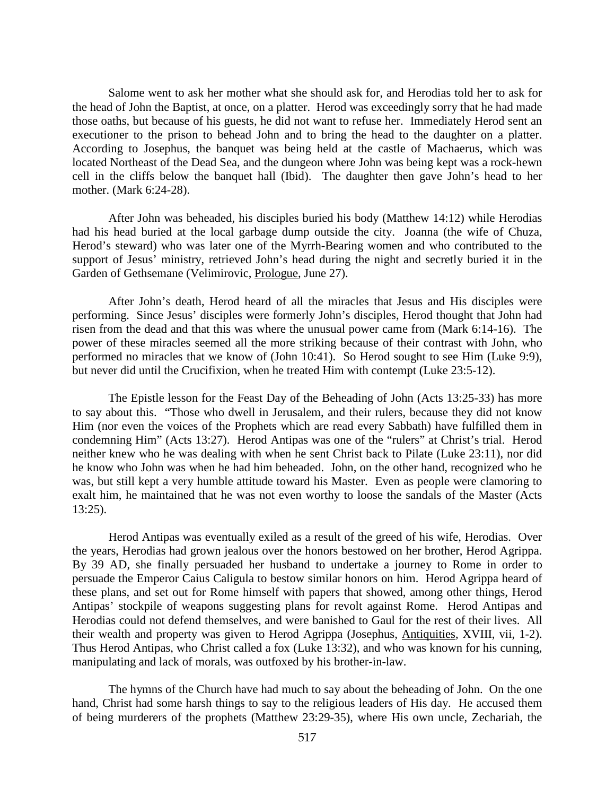Salome went to ask her mother what she should ask for, and Herodias told her to ask for the head of John the Baptist, at once, on a platter. Herod was exceedingly sorry that he had made those oaths, but because of his guests, he did not want to refuse her. Immediately Herod sent an executioner to the prison to behead John and to bring the head to the daughter on a platter. According to Josephus, the banquet was being held at the castle of Machaerus, which was located Northeast of the Dead Sea, and the dungeon where John was being kept was a rock-hewn cell in the cliffs below the banquet hall (Ibid). The daughter then gave John's head to her mother. (Mark 6:24-28).

After John was beheaded, his disciples buried his body (Matthew 14:12) while Herodias had his head buried at the local garbage dump outside the city. Joanna (the wife of Chuza, Herod's steward) who was later one of the Myrrh-Bearing women and who contributed to the support of Jesus' ministry, retrieved John's head during the night and secretly buried it in the Garden of Gethsemane (Velimirovic, Prologue, June 27).

After John's death, Herod heard of all the miracles that Jesus and His disciples were performing. Since Jesus' disciples were formerly John's disciples, Herod thought that John had risen from the dead and that this was where the unusual power came from (Mark 6:14-16). The power of these miracles seemed all the more striking because of their contrast with John, who performed no miracles that we know of (John 10:41). So Herod sought to see Him (Luke 9:9), but never did until the Crucifixion, when he treated Him with contempt (Luke 23:5-12).

The Epistle lesson for the Feast Day of the Beheading of John (Acts 13:25-33) has more to say about this. "Those who dwell in Jerusalem, and their rulers, because they did not know Him (nor even the voices of the Prophets which are read every Sabbath) have fulfilled them in condemning Him" (Acts 13:27). Herod Antipas was one of the "rulers" at Christ's trial. Herod neither knew who he was dealing with when he sent Christ back to Pilate (Luke 23:11), nor did he know who John was when he had him beheaded. John, on the other hand, recognized who he was, but still kept a very humble attitude toward his Master. Even as people were clamoring to exalt him, he maintained that he was not even worthy to loose the sandals of the Master (Acts 13:25).

Herod Antipas was eventually exiled as a result of the greed of his wife, Herodias. Over the years, Herodias had grown jealous over the honors bestowed on her brother, Herod Agrippa. By 39 AD, she finally persuaded her husband to undertake a journey to Rome in order to persuade the Emperor Caius Caligula to bestow similar honors on him. Herod Agrippa heard of these plans, and set out for Rome himself with papers that showed, among other things, Herod Antipas' stockpile of weapons suggesting plans for revolt against Rome. Herod Antipas and Herodias could not defend themselves, and were banished to Gaul for the rest of their lives. All their wealth and property was given to Herod Agrippa (Josephus, Antiquities, XVIII, vii, 1-2). Thus Herod Antipas, who Christ called a fox (Luke 13:32), and who was known for his cunning, manipulating and lack of morals, was outfoxed by his brother-in-law.

The hymns of the Church have had much to say about the beheading of John. On the one hand, Christ had some harsh things to say to the religious leaders of His day. He accused them of being murderers of the prophets (Matthew 23:29-35), where His own uncle, Zechariah, the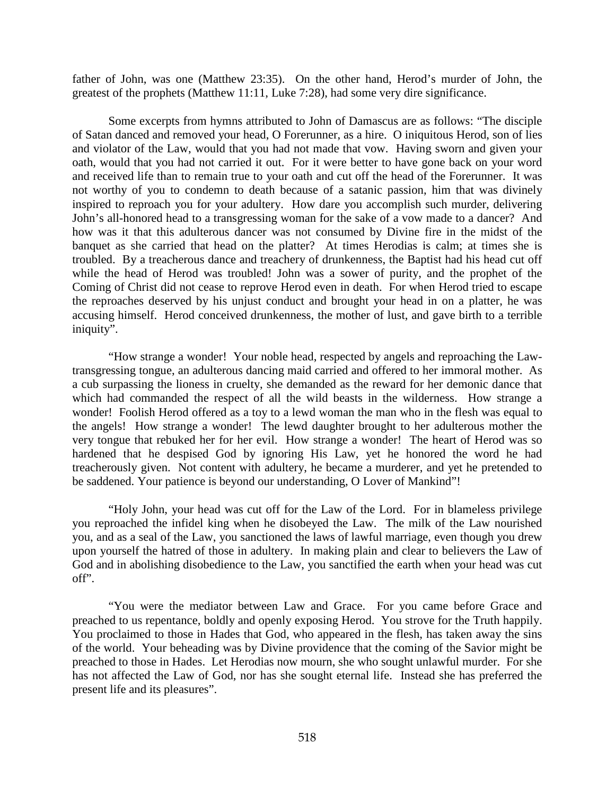father of John, was one (Matthew 23:35). On the other hand, Herod's murder of John, the greatest of the prophets (Matthew 11:11, Luke 7:28), had some very dire significance.

Some excerpts from hymns attributed to John of Damascus are as follows: "The disciple of Satan danced and removed your head, O Forerunner, as a hire. O iniquitous Herod, son of lies and violator of the Law, would that you had not made that vow. Having sworn and given your oath, would that you had not carried it out. For it were better to have gone back on your word and received life than to remain true to your oath and cut off the head of the Forerunner. It was not worthy of you to condemn to death because of a satanic passion, him that was divinely inspired to reproach you for your adultery. How dare you accomplish such murder, delivering John's all-honored head to a transgressing woman for the sake of a vow made to a dancer? And how was it that this adulterous dancer was not consumed by Divine fire in the midst of the banquet as she carried that head on the platter? At times Herodias is calm; at times she is troubled. By a treacherous dance and treachery of drunkenness, the Baptist had his head cut off while the head of Herod was troubled! John was a sower of purity, and the prophet of the Coming of Christ did not cease to reprove Herod even in death. For when Herod tried to escape the reproaches deserved by his unjust conduct and brought your head in on a platter, he was accusing himself. Herod conceived drunkenness, the mother of lust, and gave birth to a terrible iniquity".

"How strange a wonder! Your noble head, respected by angels and reproaching the Lawtransgressing tongue, an adulterous dancing maid carried and offered to her immoral mother. As a cub surpassing the lioness in cruelty, she demanded as the reward for her demonic dance that which had commanded the respect of all the wild beasts in the wilderness. How strange a wonder! Foolish Herod offered as a toy to a lewd woman the man who in the flesh was equal to the angels! How strange a wonder! The lewd daughter brought to her adulterous mother the very tongue that rebuked her for her evil. How strange a wonder! The heart of Herod was so hardened that he despised God by ignoring His Law, yet he honored the word he had treacherously given. Not content with adultery, he became a murderer, and yet he pretended to be saddened. Your patience is beyond our understanding, O Lover of Mankind"!

"Holy John, your head was cut off for the Law of the Lord. For in blameless privilege you reproached the infidel king when he disobeyed the Law. The milk of the Law nourished you, and as a seal of the Law, you sanctioned the laws of lawful marriage, even though you drew upon yourself the hatred of those in adultery. In making plain and clear to believers the Law of God and in abolishing disobedience to the Law, you sanctified the earth when your head was cut off".

"You were the mediator between Law and Grace. For you came before Grace and preached to us repentance, boldly and openly exposing Herod. You strove for the Truth happily. You proclaimed to those in Hades that God, who appeared in the flesh, has taken away the sins of the world. Your beheading was by Divine providence that the coming of the Savior might be preached to those in Hades. Let Herodias now mourn, she who sought unlawful murder. For she has not affected the Law of God, nor has she sought eternal life. Instead she has preferred the present life and its pleasures".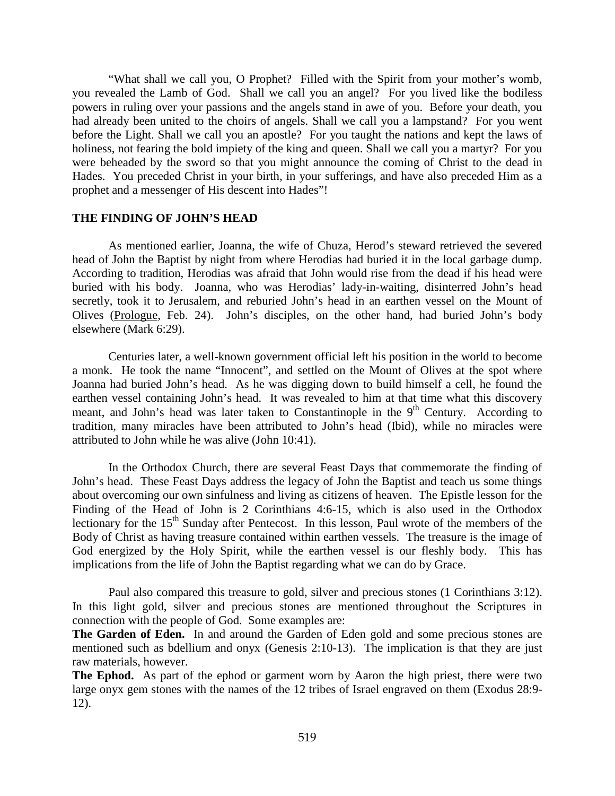"What shall we call you, O Prophet? Filled with the Spirit from your mother's womb, you revealed the Lamb of God. Shall we call you an angel? For you lived like the bodiless powers in ruling over your passions and the angels stand in awe of you. Before your death, you had already been united to the choirs of angels. Shall we call you a lampstand? For you went before the Light. Shall we call you an apostle? For you taught the nations and kept the laws of holiness, not fearing the bold impiety of the king and queen. Shall we call you a martyr? For you were beheaded by the sword so that you might announce the coming of Christ to the dead in Hades. You preceded Christ in your birth, in your sufferings, and have also preceded Him as a prophet and a messenger of His descent into Hades"!

#### **THE FINDING OF JOHN'S HEAD**

As mentioned earlier, Joanna, the wife of Chuza, Herod's steward retrieved the severed head of John the Baptist by night from where Herodias had buried it in the local garbage dump. According to tradition, Herodias was afraid that John would rise from the dead if his head were buried with his body. Joanna, who was Herodias' lady-in-waiting, disinterred John's head secretly, took it to Jerusalem, and reburied John's head in an earthen vessel on the Mount of Olives (Prologue, Feb. 24). John's disciples, on the other hand, had buried John's body elsewhere (Mark 6:29).

Centuries later, a well-known government official left his position in the world to become a monk. He took the name "Innocent", and settled on the Mount of Olives at the spot where Joanna had buried John's head. As he was digging down to build himself a cell, he found the earthen vessel containing John's head. It was revealed to him at that time what this discovery meant, and John's head was later taken to Constantinople in the  $9<sup>th</sup>$  Century. According to tradition, many miracles have been attributed to John's head (Ibid), while no miracles were attributed to John while he was alive (John 10:41).

In the Orthodox Church, there are several Feast Days that commemorate the finding of John's head. These Feast Days address the legacy of John the Baptist and teach us some things about overcoming our own sinfulness and living as citizens of heaven. The Epistle lesson for the Finding of the Head of John is 2 Corinthians 4:6-15, which is also used in the Orthodox lectionary for the 15<sup>th</sup> Sunday after Pentecost. In this lesson, Paul wrote of the members of the Body of Christ as having treasure contained within earthen vessels. The treasure is the image of God energized by the Holy Spirit, while the earthen vessel is our fleshly body. This has implications from the life of John the Baptist regarding what we can do by Grace.

Paul also compared this treasure to gold, silver and precious stones (1 Corinthians 3:12). In this light gold, silver and precious stones are mentioned throughout the Scriptures in connection with the people of God. Some examples are:

**The Garden of Eden.** In and around the Garden of Eden gold and some precious stones are mentioned such as bdellium and onyx (Genesis 2:10-13). The implication is that they are just raw materials, however.

**The Ephod.** As part of the ephod or garment worn by Aaron the high priest, there were two large onyx gem stones with the names of the 12 tribes of Israel engraved on them (Exodus 28:9- 12).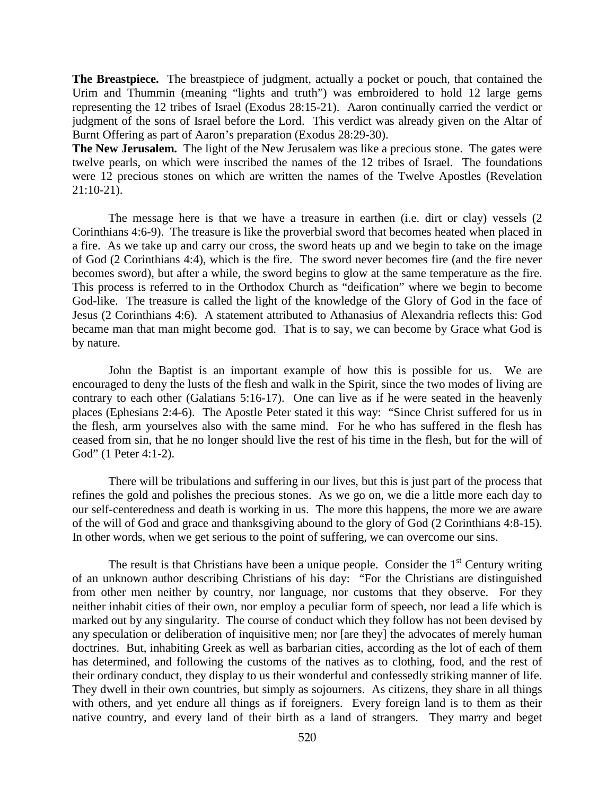**The Breastpiece.** The breastpiece of judgment, actually a pocket or pouch, that contained the Urim and Thummin (meaning "lights and truth") was embroidered to hold 12 large gems representing the 12 tribes of Israel (Exodus 28:15-21). Aaron continually carried the verdict or judgment of the sons of Israel before the Lord. This verdict was already given on the Altar of Burnt Offering as part of Aaron's preparation (Exodus 28:29-30).

**The New Jerusalem.** The light of the New Jerusalem was like a precious stone. The gates were twelve pearls, on which were inscribed the names of the 12 tribes of Israel. The foundations were 12 precious stones on which are written the names of the Twelve Apostles (Revelation 21:10-21).

The message here is that we have a treasure in earthen (i.e. dirt or clay) vessels (2 Corinthians 4:6-9). The treasure is like the proverbial sword that becomes heated when placed in a fire. As we take up and carry our cross, the sword heats up and we begin to take on the image of God (2 Corinthians 4:4), which is the fire. The sword never becomes fire (and the fire never becomes sword), but after a while, the sword begins to glow at the same temperature as the fire. This process is referred to in the Orthodox Church as "deification" where we begin to become God-like. The treasure is called the light of the knowledge of the Glory of God in the face of Jesus (2 Corinthians 4:6). A statement attributed to Athanasius of Alexandria reflects this: God became man that man might become god. That is to say, we can become by Grace what God is by nature.

John the Baptist is an important example of how this is possible for us. We are encouraged to deny the lusts of the flesh and walk in the Spirit, since the two modes of living are contrary to each other (Galatians 5:16-17). One can live as if he were seated in the heavenly places (Ephesians 2:4-6). The Apostle Peter stated it this way: "Since Christ suffered for us in the flesh, arm yourselves also with the same mind. For he who has suffered in the flesh has ceased from sin, that he no longer should live the rest of his time in the flesh, but for the will of God" (1 Peter 4:1-2).

There will be tribulations and suffering in our lives, but this is just part of the process that refines the gold and polishes the precious stones. As we go on, we die a little more each day to our self-centeredness and death is working in us. The more this happens, the more we are aware of the will of God and grace and thanksgiving abound to the glory of God (2 Corinthians 4:8-15). In other words, when we get serious to the point of suffering, we can overcome our sins.

The result is that Christians have been a unique people. Consider the  $1<sup>st</sup>$  Century writing of an unknown author describing Christians of his day: "For the Christians are distinguished from other men neither by country, nor language, nor customs that they observe. For they neither inhabit cities of their own, nor employ a peculiar form of speech, nor lead a life which is marked out by any singularity. The course of conduct which they follow has not been devised by any speculation or deliberation of inquisitive men; nor [are they] the advocates of merely human doctrines. But, inhabiting Greek as well as barbarian cities, according as the lot of each of them has determined, and following the customs of the natives as to clothing, food, and the rest of their ordinary conduct, they display to us their wonderful and confessedly striking manner of life. They dwell in their own countries, but simply as sojourners. As citizens, they share in all things with others, and yet endure all things as if foreigners. Every foreign land is to them as their native country, and every land of their birth as a land of strangers. They marry and beget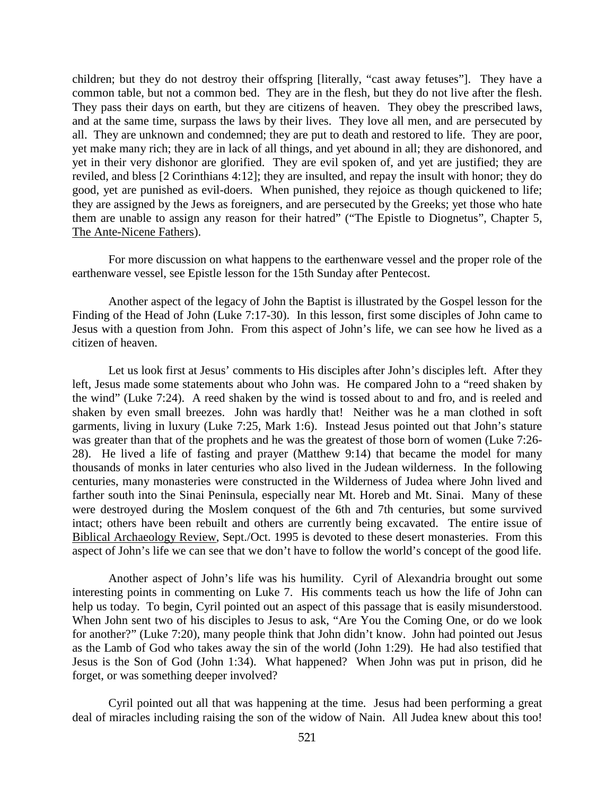children; but they do not destroy their offspring [literally, "cast away fetuses"]. They have a common table, but not a common bed. They are in the flesh, but they do not live after the flesh. They pass their days on earth, but they are citizens of heaven. They obey the prescribed laws, and at the same time, surpass the laws by their lives. They love all men, and are persecuted by all. They are unknown and condemned; they are put to death and restored to life. They are poor, yet make many rich; they are in lack of all things, and yet abound in all; they are dishonored, and yet in their very dishonor are glorified. They are evil spoken of, and yet are justified; they are reviled, and bless [2 Corinthians 4:12]; they are insulted, and repay the insult with honor; they do good, yet are punished as evil-doers. When punished, they rejoice as though quickened to life; they are assigned by the Jews as foreigners, and are persecuted by the Greeks; yet those who hate them are unable to assign any reason for their hatred" ("The Epistle to Diognetus", Chapter 5, The Ante-Nicene Fathers).

For more discussion on what happens to the earthenware vessel and the proper role of the earthenware vessel, see Epistle lesson for the 15th Sunday after Pentecost.

Another aspect of the legacy of John the Baptist is illustrated by the Gospel lesson for the Finding of the Head of John (Luke 7:17-30). In this lesson, first some disciples of John came to Jesus with a question from John. From this aspect of John's life, we can see how he lived as a citizen of heaven.

Let us look first at Jesus' comments to His disciples after John's disciples left. After they left, Jesus made some statements about who John was. He compared John to a "reed shaken by the wind" (Luke 7:24). A reed shaken by the wind is tossed about to and fro, and is reeled and shaken by even small breezes. John was hardly that! Neither was he a man clothed in soft garments, living in luxury (Luke 7:25, Mark 1:6). Instead Jesus pointed out that John's stature was greater than that of the prophets and he was the greatest of those born of women (Luke 7:26- 28). He lived a life of fasting and prayer (Matthew 9:14) that became the model for many thousands of monks in later centuries who also lived in the Judean wilderness. In the following centuries, many monasteries were constructed in the Wilderness of Judea where John lived and farther south into the Sinai Peninsula, especially near Mt. Horeb and Mt. Sinai. Many of these were destroyed during the Moslem conquest of the 6th and 7th centuries, but some survived intact; others have been rebuilt and others are currently being excavated. The entire issue of Biblical Archaeology Review, Sept./Oct. 1995 is devoted to these desert monasteries. From this aspect of John's life we can see that we don't have to follow the world's concept of the good life.

Another aspect of John's life was his humility. Cyril of Alexandria brought out some interesting points in commenting on Luke 7. His comments teach us how the life of John can help us today. To begin, Cyril pointed out an aspect of this passage that is easily misunderstood. When John sent two of his disciples to Jesus to ask, "Are You the Coming One, or do we look for another?" (Luke 7:20), many people think that John didn't know. John had pointed out Jesus as the Lamb of God who takes away the sin of the world (John 1:29). He had also testified that Jesus is the Son of God (John 1:34). What happened? When John was put in prison, did he forget, or was something deeper involved?

Cyril pointed out all that was happening at the time. Jesus had been performing a great deal of miracles including raising the son of the widow of Nain. All Judea knew about this too!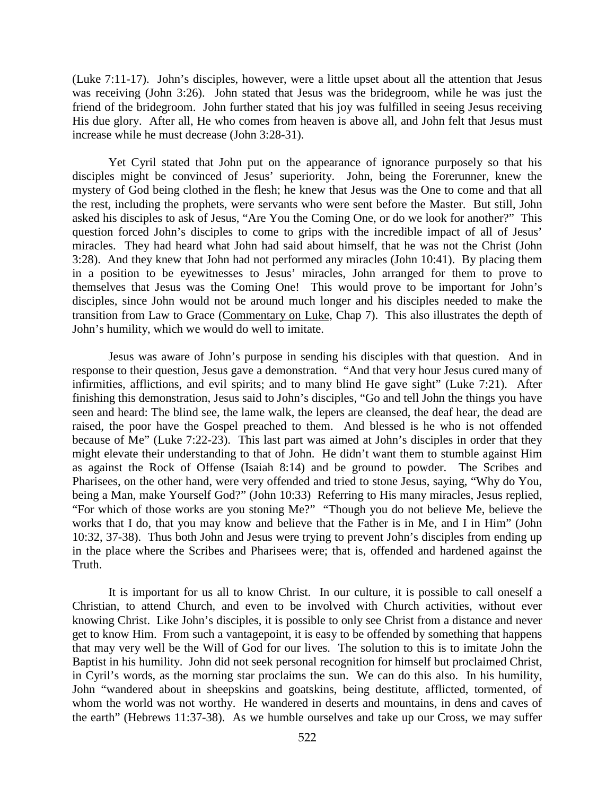(Luke 7:11-17). John's disciples, however, were a little upset about all the attention that Jesus was receiving (John 3:26). John stated that Jesus was the bridegroom, while he was just the friend of the bridegroom. John further stated that his joy was fulfilled in seeing Jesus receiving His due glory. After all, He who comes from heaven is above all, and John felt that Jesus must increase while he must decrease (John 3:28-31).

Yet Cyril stated that John put on the appearance of ignorance purposely so that his disciples might be convinced of Jesus' superiority. John, being the Forerunner, knew the mystery of God being clothed in the flesh; he knew that Jesus was the One to come and that all the rest, including the prophets, were servants who were sent before the Master. But still, John asked his disciples to ask of Jesus, "Are You the Coming One, or do we look for another?" This question forced John's disciples to come to grips with the incredible impact of all of Jesus' miracles. They had heard what John had said about himself, that he was not the Christ (John 3:28). And they knew that John had not performed any miracles (John 10:41). By placing them in a position to be eyewitnesses to Jesus' miracles, John arranged for them to prove to themselves that Jesus was the Coming One! This would prove to be important for John's disciples, since John would not be around much longer and his disciples needed to make the transition from Law to Grace (Commentary on Luke, Chap 7). This also illustrates the depth of John's humility, which we would do well to imitate.

Jesus was aware of John's purpose in sending his disciples with that question. And in response to their question, Jesus gave a demonstration. "And that very hour Jesus cured many of infirmities, afflictions, and evil spirits; and to many blind He gave sight" (Luke 7:21). After finishing this demonstration, Jesus said to John's disciples, "Go and tell John the things you have seen and heard: The blind see, the lame walk, the lepers are cleansed, the deaf hear, the dead are raised, the poor have the Gospel preached to them. And blessed is he who is not offended because of Me" (Luke 7:22-23). This last part was aimed at John's disciples in order that they might elevate their understanding to that of John. He didn't want them to stumble against Him as against the Rock of Offense (Isaiah 8:14) and be ground to powder. The Scribes and Pharisees, on the other hand, were very offended and tried to stone Jesus, saying, "Why do You, being a Man, make Yourself God?" (John 10:33) Referring to His many miracles, Jesus replied, "For which of those works are you stoning Me?" "Though you do not believe Me, believe the works that I do, that you may know and believe that the Father is in Me, and I in Him" (John 10:32, 37-38). Thus both John and Jesus were trying to prevent John's disciples from ending up in the place where the Scribes and Pharisees were; that is, offended and hardened against the Truth.

It is important for us all to know Christ. In our culture, it is possible to call oneself a Christian, to attend Church, and even to be involved with Church activities, without ever knowing Christ. Like John's disciples, it is possible to only see Christ from a distance and never get to know Him. From such a vantagepoint, it is easy to be offended by something that happens that may very well be the Will of God for our lives. The solution to this is to imitate John the Baptist in his humility. John did not seek personal recognition for himself but proclaimed Christ, in Cyril's words, as the morning star proclaims the sun. We can do this also. In his humility, John "wandered about in sheepskins and goatskins, being destitute, afflicted, tormented, of whom the world was not worthy. He wandered in deserts and mountains, in dens and caves of the earth" (Hebrews 11:37-38). As we humble ourselves and take up our Cross, we may suffer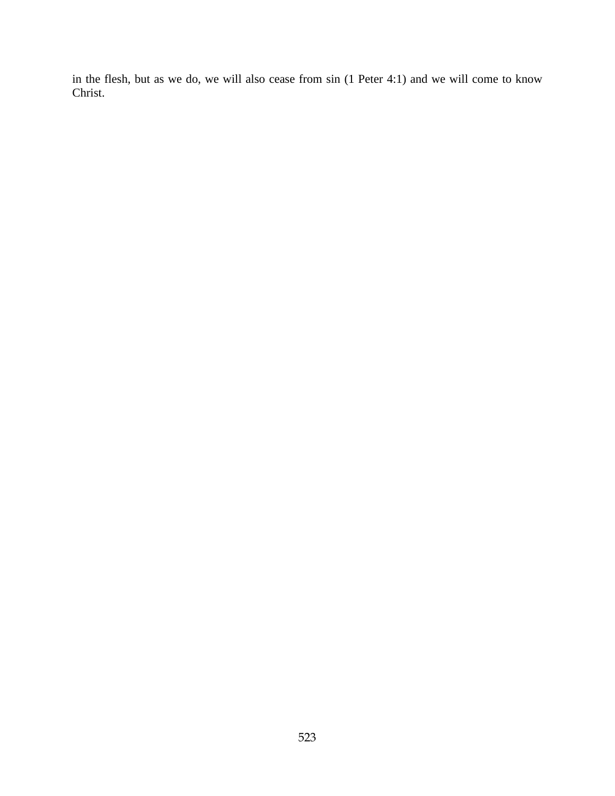in the flesh, but as we do, we will also cease from sin (1 Peter 4:1) and we will come to know Christ.